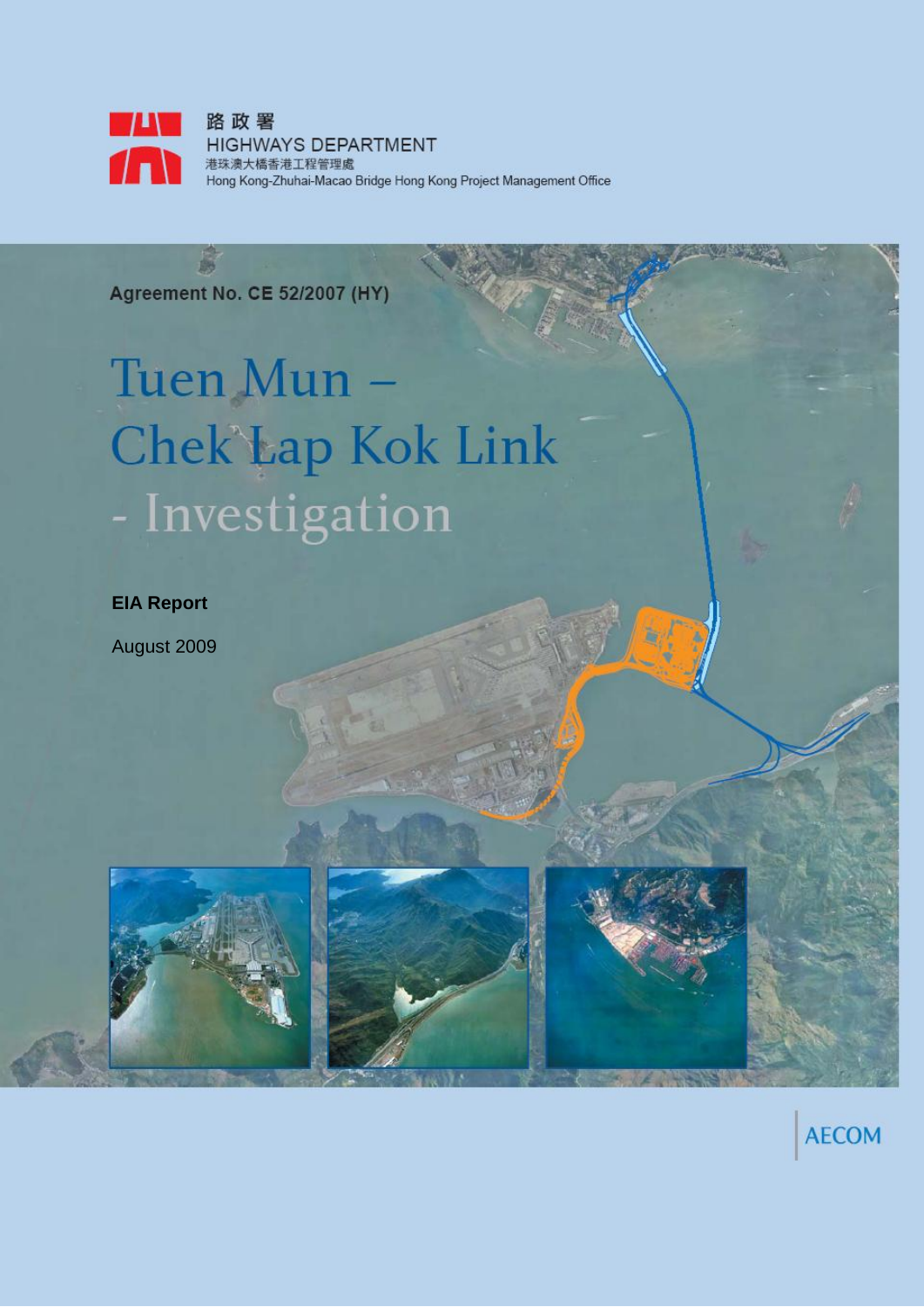

**Agreement No. CE 52/2007 (HY)** 

岛

# Tuen Mun -**Chek'Lap Kok Link** - Investigation

**EIA Report**

August 2009



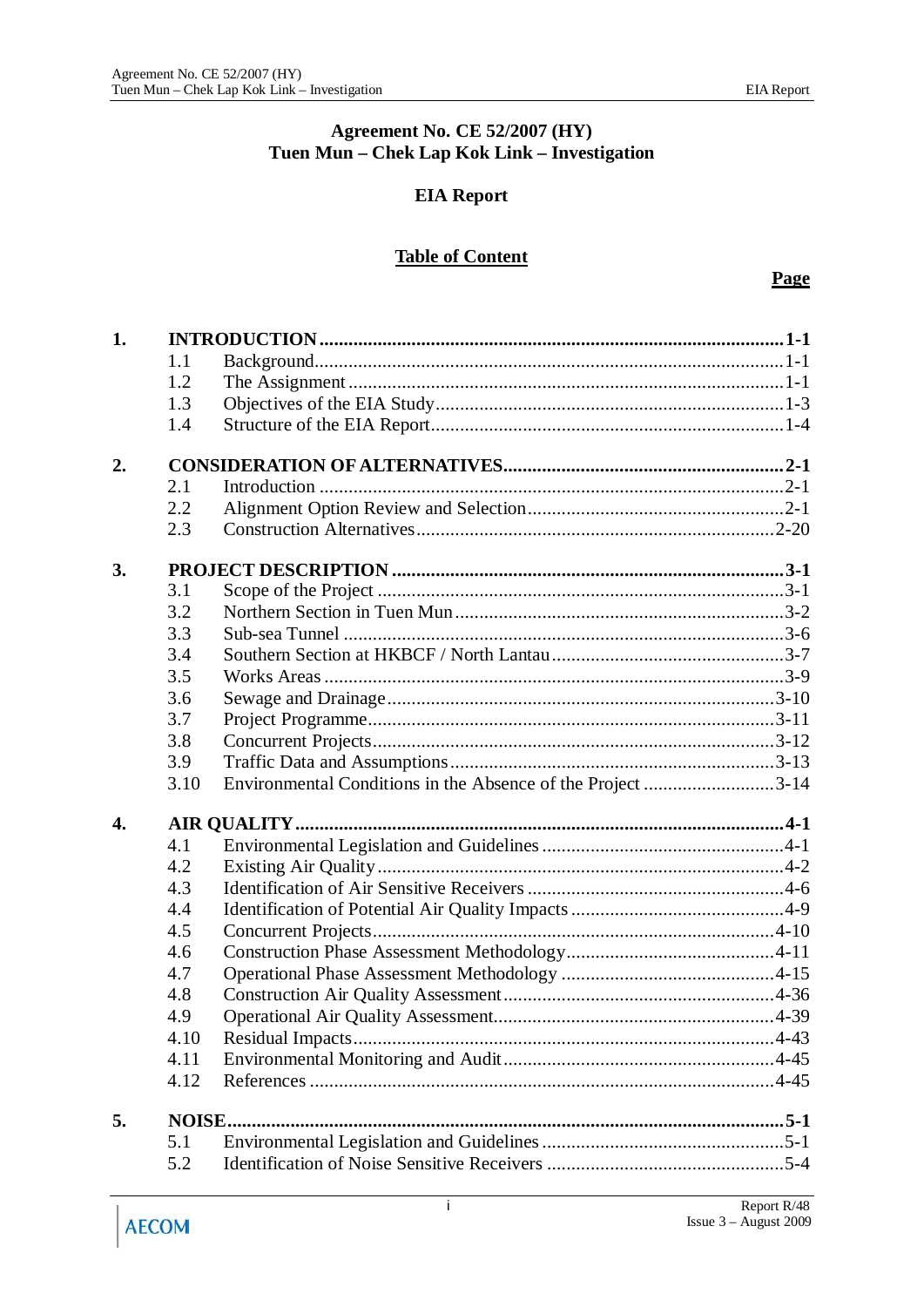#### **Agreement No. CE 52/2007 (HY) Tuen Mun – Chek Lap Kok Link – Investigation**

### **EIA Report**

### **Table of Content**

| 1. |        |                                                             |
|----|--------|-------------------------------------------------------------|
|    | 1.1    |                                                             |
|    | 1.2    |                                                             |
|    | 1.3    |                                                             |
|    | 1.4    |                                                             |
| 2. |        |                                                             |
|    | 2.1    |                                                             |
|    | 2.2    |                                                             |
|    | 2.3    |                                                             |
| 3. |        |                                                             |
|    | 3.1    |                                                             |
|    | 3.2    |                                                             |
|    | 3.3    |                                                             |
|    | 3.4    |                                                             |
|    | 3.5    |                                                             |
|    | 3.6    |                                                             |
|    | 3.7    |                                                             |
|    | 3.8    |                                                             |
|    | 3.9    |                                                             |
|    | 3.10   | Environmental Conditions in the Absence of the Project 3-14 |
| 4. |        |                                                             |
|    | 4.1    |                                                             |
|    | 4.2    |                                                             |
|    | 4.3    |                                                             |
|    | 4.4    |                                                             |
|    | 4.5    |                                                             |
|    | 4.6    |                                                             |
|    | 4.7    |                                                             |
|    | 4.8    |                                                             |
|    | 4.9    |                                                             |
|    | 4.10   |                                                             |
|    | 4.11   |                                                             |
|    | 4.12   |                                                             |
| 5. | NOISE. |                                                             |
|    | 5.1    |                                                             |
|    | 5.2    |                                                             |
|    |        |                                                             |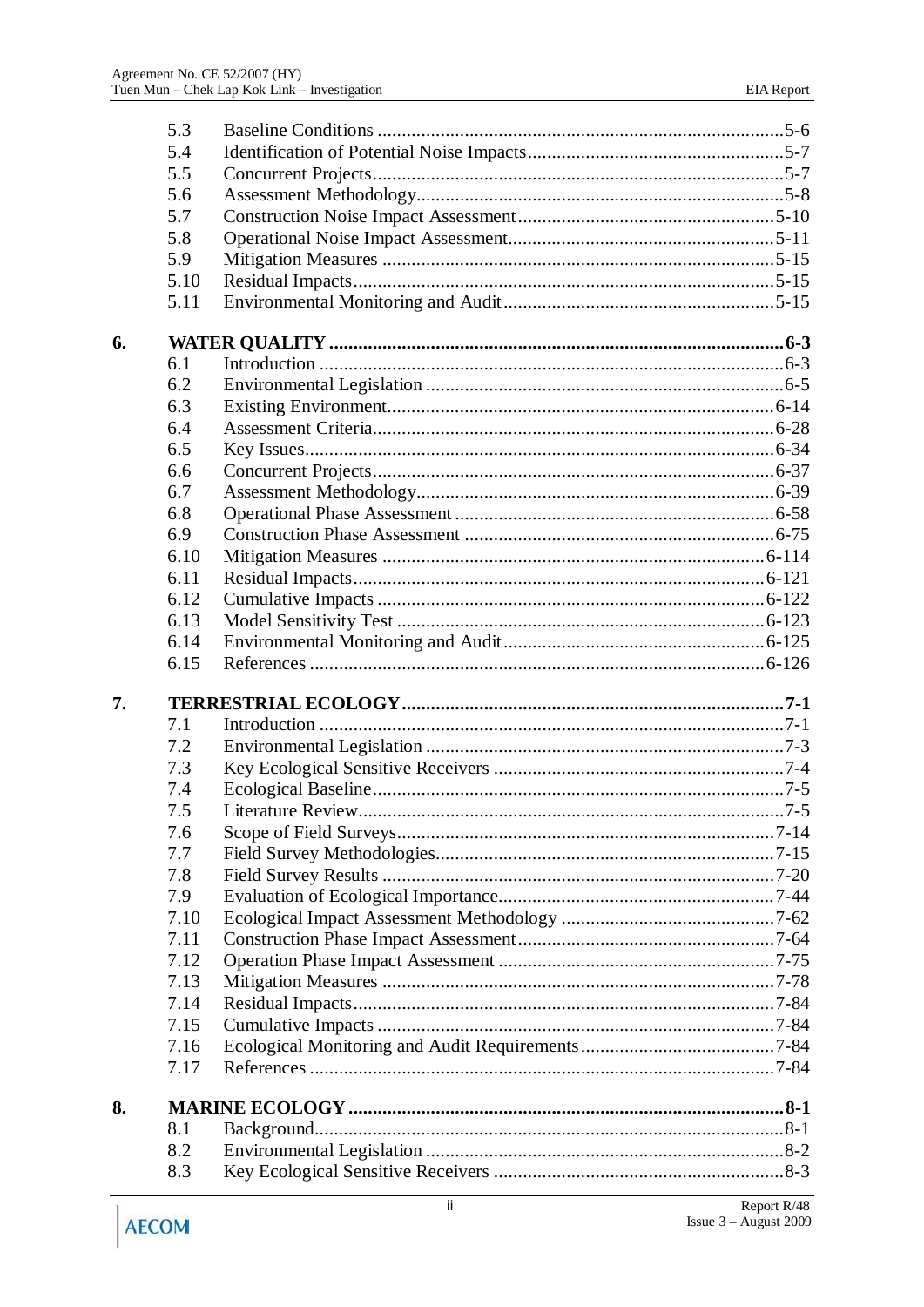|    | 5.3  |                    |
|----|------|--------------------|
|    | 5.4  |                    |
|    | 5.5  |                    |
|    | 5.6  |                    |
|    | 5.7  |                    |
|    | 5.8  |                    |
|    | 5.9  |                    |
|    | 5.10 |                    |
|    | 5.11 |                    |
| 6. |      |                    |
|    | 6.1  |                    |
|    | 6.2  |                    |
|    | 6.3  |                    |
|    | 6.4  |                    |
|    | 6.5  |                    |
|    | 6.6  |                    |
|    | 6.7  |                    |
|    | 6.8  |                    |
|    | 6.9  |                    |
|    | 6.10 |                    |
|    | 6.11 |                    |
|    | 6.12 |                    |
|    | 6.13 |                    |
|    | 6.14 |                    |
|    | 6.15 |                    |
| 7. |      |                    |
|    | 7.1  |                    |
|    | 7.2  |                    |
|    | 7.3  |                    |
|    | 7.4  |                    |
|    | 7.5  | Literature Review. |
|    | 7.6  |                    |
|    | 7.7  |                    |
|    | 7.8  |                    |
|    | 7.9  |                    |
|    | 7.10 |                    |
|    | 7.11 |                    |
|    | 7.12 |                    |
|    | 7.13 |                    |
|    | 7.14 |                    |
|    | 7.15 |                    |
|    | 7.16 |                    |
|    | 7.17 |                    |
| 8. |      |                    |
|    | 8.1  |                    |
|    | 8.2  |                    |
|    | 8.3  |                    |
|    |      |                    |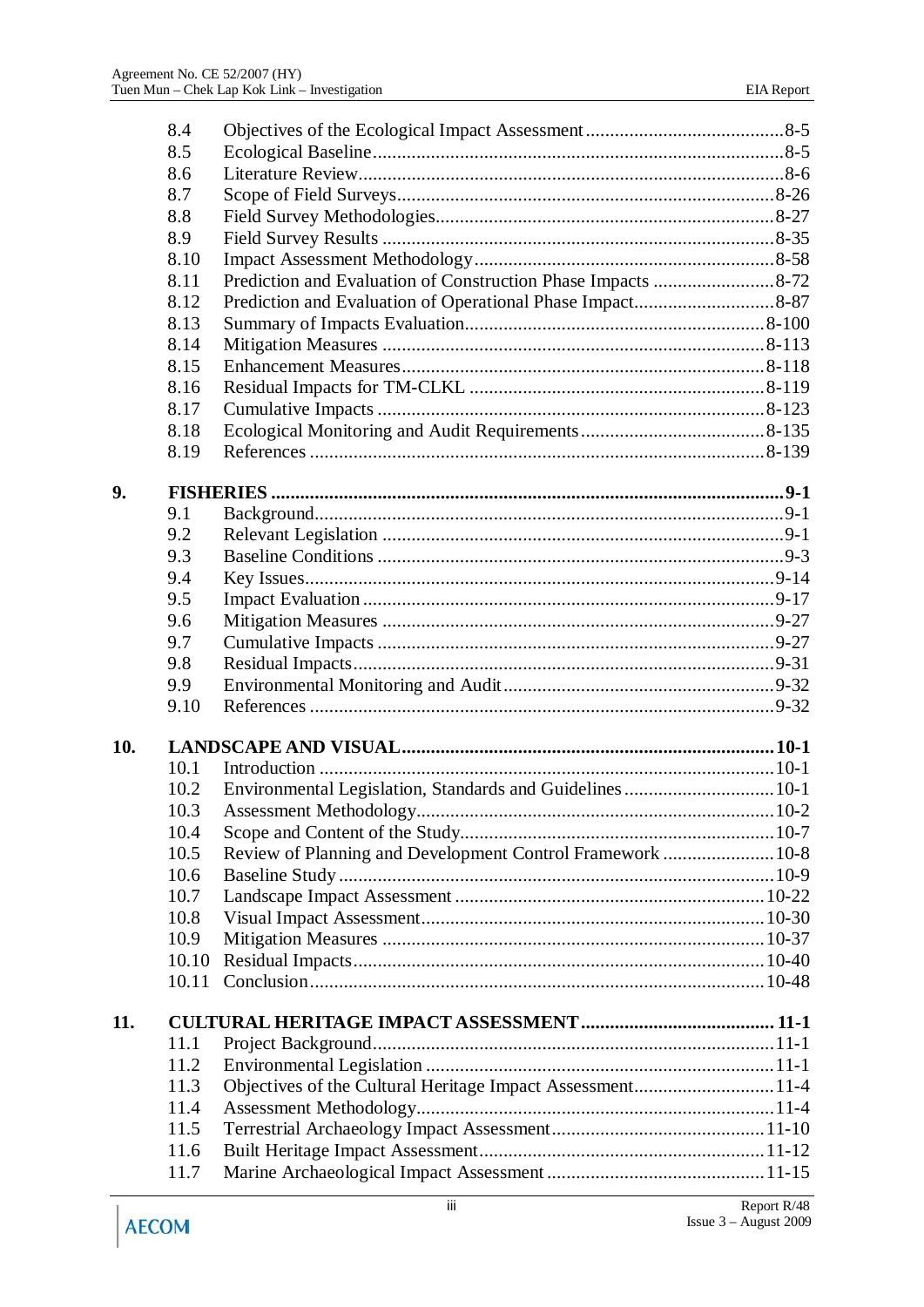|     | 8.4   |                                                            |  |
|-----|-------|------------------------------------------------------------|--|
|     | 8.5   |                                                            |  |
|     | 8.6   |                                                            |  |
|     | 8.7   |                                                            |  |
|     | 8.8   |                                                            |  |
|     | 8.9   |                                                            |  |
|     | 8.10  |                                                            |  |
|     | 8.11  |                                                            |  |
|     | 8.12  |                                                            |  |
|     | 8.13  |                                                            |  |
|     | 8.14  |                                                            |  |
|     | 8.15  |                                                            |  |
|     | 8.16  |                                                            |  |
|     | 8.17  |                                                            |  |
|     | 8.18  |                                                            |  |
|     | 8.19  |                                                            |  |
|     |       |                                                            |  |
| 9.  |       |                                                            |  |
|     | 9.1   |                                                            |  |
|     | 9.2   |                                                            |  |
|     | 9.3   |                                                            |  |
|     | 9.4   |                                                            |  |
|     | 9.5   |                                                            |  |
|     | 9.6   |                                                            |  |
|     | 9.7   |                                                            |  |
|     | 9.8   |                                                            |  |
|     | 9.9   |                                                            |  |
|     | 9.10  |                                                            |  |
|     |       |                                                            |  |
| 10. |       |                                                            |  |
|     | 10.1  |                                                            |  |
|     | 10.2  |                                                            |  |
|     | 10.3  |                                                            |  |
|     | 10.4  |                                                            |  |
|     | 10.5  | Review of Planning and Development Control Framework  10-8 |  |
|     | 10.6  |                                                            |  |
|     | 10.7  |                                                            |  |
|     | 10.8  |                                                            |  |
|     | 10.9  |                                                            |  |
|     | 10.10 |                                                            |  |
|     | 10.11 |                                                            |  |
|     |       |                                                            |  |
| 11. |       |                                                            |  |
|     | 11.1  |                                                            |  |
|     | 11.2  |                                                            |  |
|     | 11.3  | Objectives of the Cultural Heritage Impact Assessment11-4  |  |
|     | 11.4  |                                                            |  |
|     | 11.5  |                                                            |  |
|     | 11.6  |                                                            |  |
|     | 11.7  |                                                            |  |
|     |       |                                                            |  |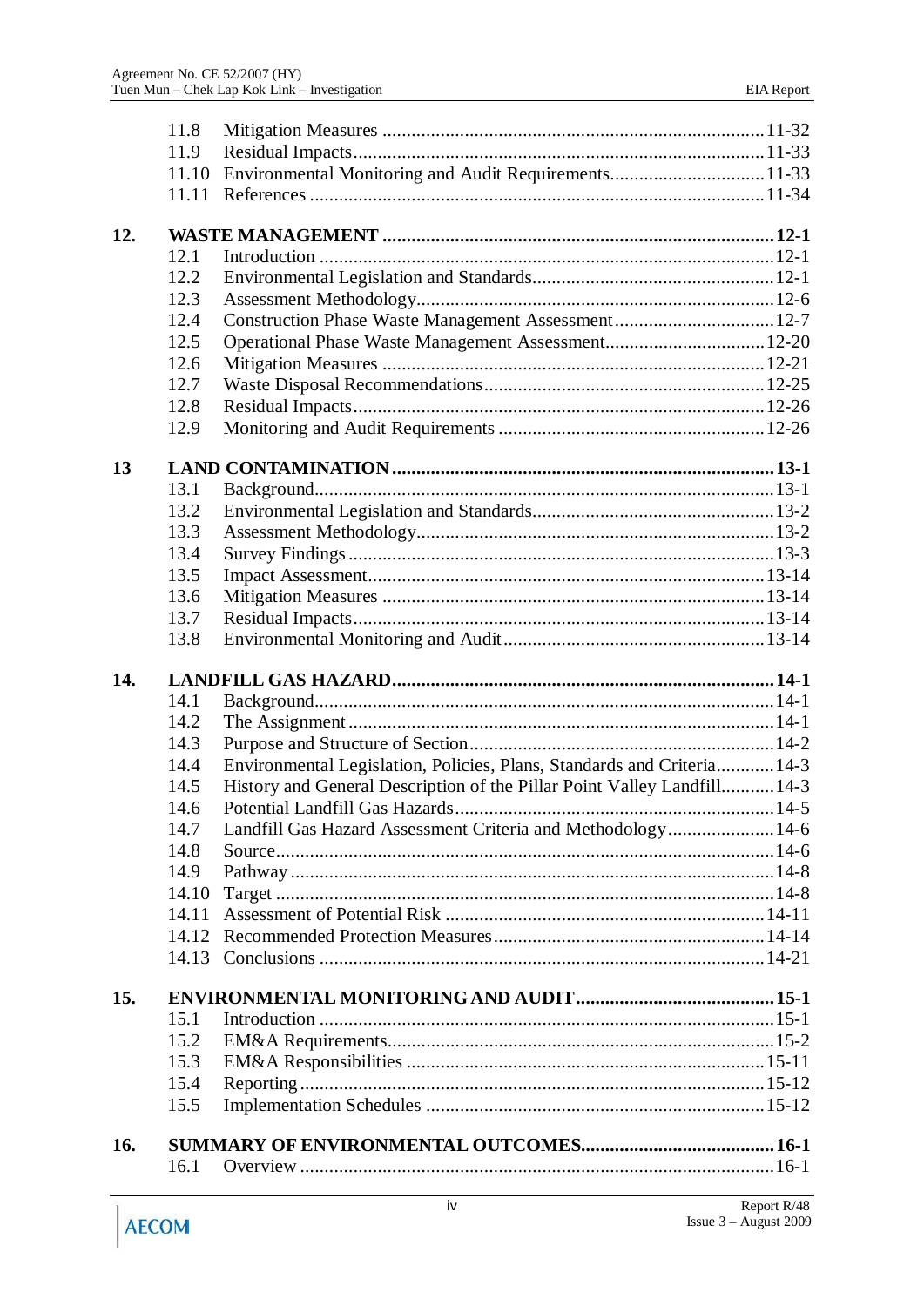|     | 11.8         |                                                                          |  |
|-----|--------------|--------------------------------------------------------------------------|--|
|     | 11.9         |                                                                          |  |
|     | 11.10        | Environmental Monitoring and Audit Requirements11-33                     |  |
|     | 11.11        |                                                                          |  |
|     |              |                                                                          |  |
| 12. |              |                                                                          |  |
|     | 12.1         |                                                                          |  |
|     | 12.2         |                                                                          |  |
|     | 12.3         |                                                                          |  |
|     | 12.4         | Construction Phase Waste Management Assessment 12-7                      |  |
|     | 12.5         |                                                                          |  |
|     | 12.6         |                                                                          |  |
|     | 12.7         |                                                                          |  |
|     | 12.8         |                                                                          |  |
|     | 12.9         |                                                                          |  |
| 13  |              |                                                                          |  |
|     | 13.1         |                                                                          |  |
|     | 13.2         |                                                                          |  |
|     | 13.3         |                                                                          |  |
|     |              |                                                                          |  |
|     | 13.4<br>13.5 |                                                                          |  |
|     | 13.6         |                                                                          |  |
|     | 13.7         |                                                                          |  |
|     |              |                                                                          |  |
|     |              |                                                                          |  |
|     | 13.8         |                                                                          |  |
| 14. |              |                                                                          |  |
|     | 14.1         |                                                                          |  |
|     | 14.2         |                                                                          |  |
|     | 14.3         |                                                                          |  |
|     | 14.4         | Environmental Legislation, Policies, Plans, Standards and Criteria 14-3  |  |
|     | 14.5         | History and General Description of the Pillar Point Valley Landfill 14-3 |  |
|     | 14.6         |                                                                          |  |
|     | 14.7         | Landfill Gas Hazard Assessment Criteria and Methodology14-6              |  |
|     | 14.8         |                                                                          |  |
|     | 14.9         |                                                                          |  |
|     | 14.10        |                                                                          |  |
|     | 14.11        |                                                                          |  |
|     | 14.12        |                                                                          |  |
|     |              |                                                                          |  |
|     |              |                                                                          |  |
| 15. |              |                                                                          |  |
|     | 15.1         |                                                                          |  |
|     | 15.2         |                                                                          |  |
|     | 15.3         |                                                                          |  |
|     | 15.4         |                                                                          |  |
|     | 15.5         |                                                                          |  |
| 16. |              |                                                                          |  |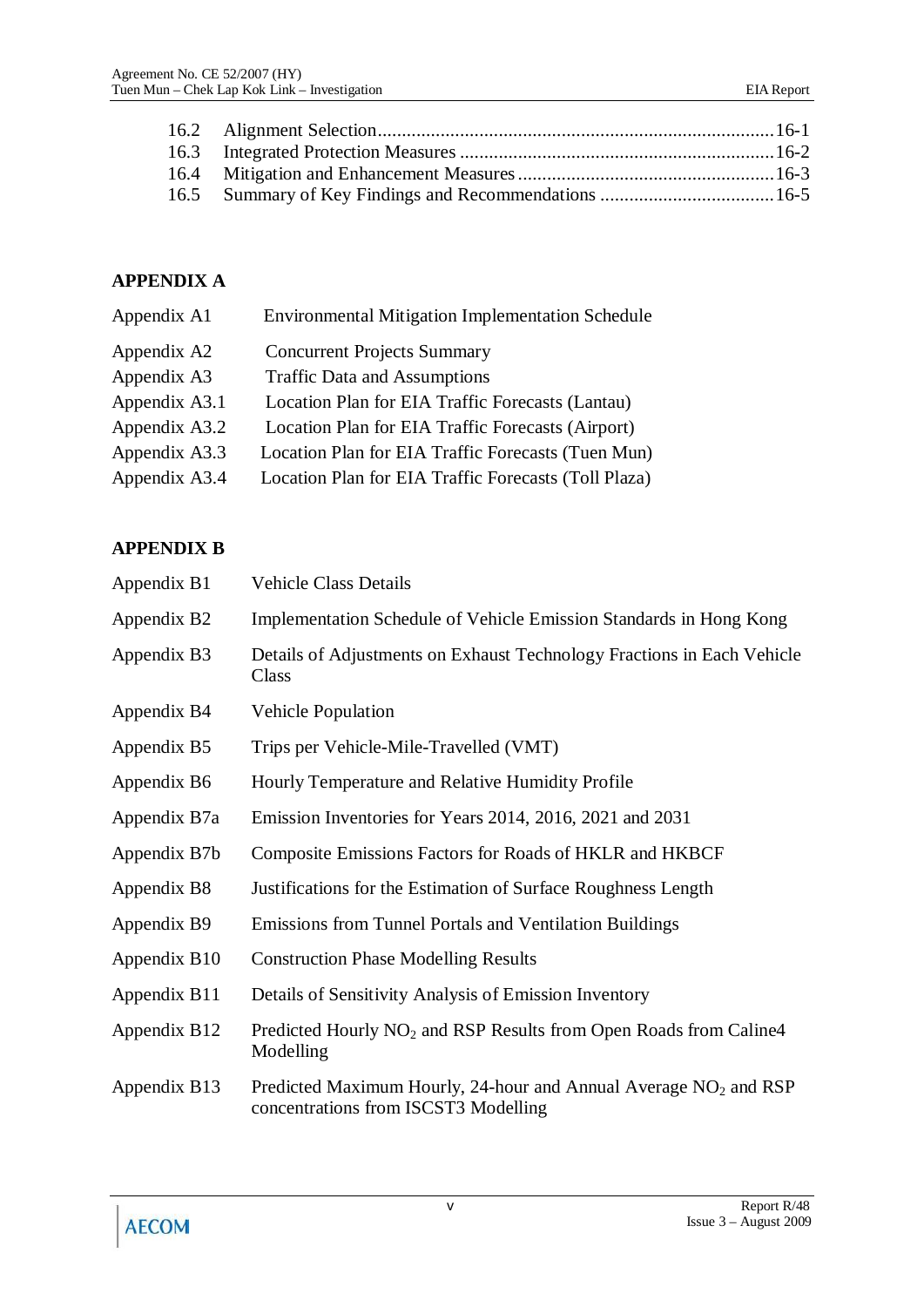### **APPENDIX A**

| Appendix A1   | <b>Environmental Mitigation Implementation Schedule</b> |
|---------------|---------------------------------------------------------|
| Appendix A2   | <b>Concurrent Projects Summary</b>                      |
| Appendix A3   | <b>Traffic Data and Assumptions</b>                     |
| Appendix A3.1 | Location Plan for EIA Traffic Forecasts (Lantau)        |
| Appendix A3.2 | Location Plan for EIA Traffic Forecasts (Airport)       |
| Appendix A3.3 | Location Plan for EIA Traffic Forecasts (Tuen Mun)      |
| Appendix A3.4 | Location Plan for EIA Traffic Forecasts (Toll Plaza)    |
|               |                                                         |

## **APPENDIX B**

| Appendix B1  | <b>Vehicle Class Details</b>                                                                               |
|--------------|------------------------------------------------------------------------------------------------------------|
| Appendix B2  | Implementation Schedule of Vehicle Emission Standards in Hong Kong                                         |
| Appendix B3  | Details of Adjustments on Exhaust Technology Fractions in Each Vehicle<br>Class                            |
| Appendix B4  | <b>Vehicle Population</b>                                                                                  |
| Appendix B5  | Trips per Vehicle-Mile-Travelled (VMT)                                                                     |
| Appendix B6  | Hourly Temperature and Relative Humidity Profile                                                           |
| Appendix B7a | Emission Inventories for Years 2014, 2016, 2021 and 2031                                                   |
| Appendix B7b | Composite Emissions Factors for Roads of HKLR and HKBCF                                                    |
| Appendix B8  | Justifications for the Estimation of Surface Roughness Length                                              |
| Appendix B9  | <b>Emissions from Tunnel Portals and Ventilation Buildings</b>                                             |
| Appendix B10 | <b>Construction Phase Modelling Results</b>                                                                |
| Appendix B11 | Details of Sensitivity Analysis of Emission Inventory                                                      |
| Appendix B12 | Predicted Hourly NO <sub>2</sub> and RSP Results from Open Roads from Caline4<br>Modelling                 |
| Appendix B13 | Predicted Maximum Hourly, 24-hour and Annual Average $NO2$ and RSP<br>concentrations from ISCST3 Modelling |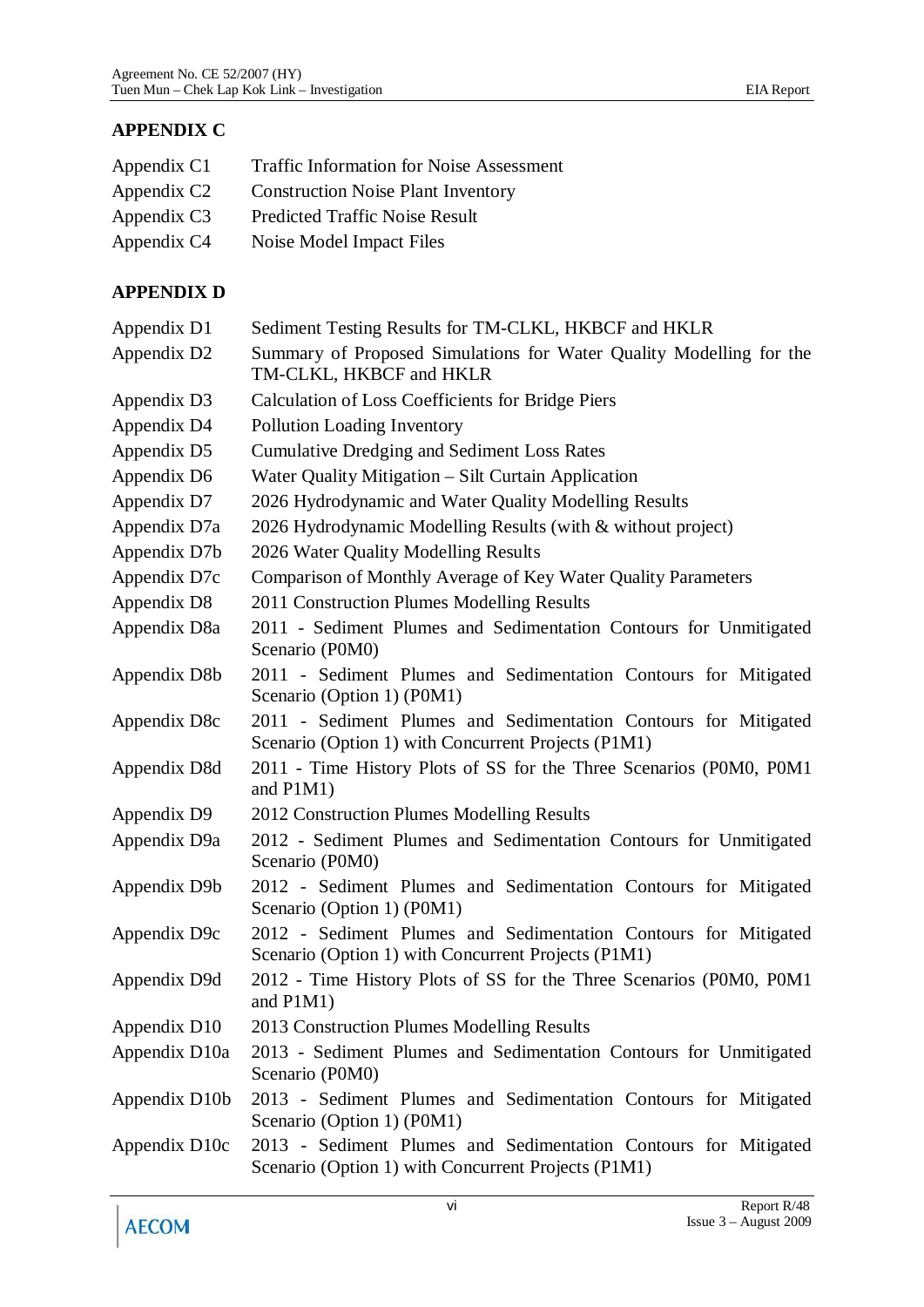| Appendix C1             | <b>Traffic Information for Noise Assessment</b> |
|-------------------------|-------------------------------------------------|
| Appendix C <sub>2</sub> | <b>Construction Noise Plant Inventory</b>       |
| Appendix C3             | <b>Predicted Traffic Noise Result</b>           |
| Appendix C4             | Noise Model Impact Files                        |

#### **APPENDIX D**

| Appendix D1   | Sediment Testing Results for TM-CLKL, HKBCF and HKLR                                                                   |
|---------------|------------------------------------------------------------------------------------------------------------------------|
| Appendix D2   | Summary of Proposed Simulations for Water Quality Modelling for the<br>TM-CLKL, HKBCF and HKLR                         |
| Appendix D3   | <b>Calculation of Loss Coefficients for Bridge Piers</b>                                                               |
| Appendix D4   | <b>Pollution Loading Inventory</b>                                                                                     |
| Appendix D5   | <b>Cumulative Dredging and Sediment Loss Rates</b>                                                                     |
| Appendix D6   | Water Quality Mitigation - Silt Curtain Application                                                                    |
| Appendix D7   | 2026 Hydrodynamic and Water Quality Modelling Results                                                                  |
| Appendix D7a  | 2026 Hydrodynamic Modelling Results (with & without project)                                                           |
| Appendix D7b  | 2026 Water Quality Modelling Results                                                                                   |
| Appendix D7c  | Comparison of Monthly Average of Key Water Quality Parameters                                                          |
| Appendix D8   | 2011 Construction Plumes Modelling Results                                                                             |
| Appendix D8a  | 2011 - Sediment Plumes and Sedimentation Contours for Unmitigated<br>Scenario (P0M0)                                   |
| Appendix D8b  | 2011 - Sediment Plumes and Sedimentation Contours for Mitigated<br>Scenario (Option 1) (P0M1)                          |
| Appendix D8c  | 2011 - Sediment Plumes and Sedimentation Contours for Mitigated<br>Scenario (Option 1) with Concurrent Projects (P1M1) |
| Appendix D8d  | 2011 - Time History Plots of SS for the Three Scenarios (P0M0, P0M1<br>and $P1M1)$                                     |
| Appendix D9   | 2012 Construction Plumes Modelling Results                                                                             |
| Appendix D9a  | 2012 - Sediment Plumes and Sedimentation Contours for Unmitigated<br>Scenario (P0M0)                                   |
| Appendix D9b  | 2012 - Sediment Plumes and Sedimentation Contours for Mitigated<br>Scenario (Option 1) (P0M1)                          |
| Appendix D9c  | 2012 - Sediment Plumes and Sedimentation Contours for Mitigated<br>Scenario (Option 1) with Concurrent Projects (P1M1) |
| Appendix D9d  | 2012 - Time History Plots of SS for the Three Scenarios (P0M0, P0M1<br>and P1M1)                                       |
| Appendix D10  | 2013 Construction Plumes Modelling Results                                                                             |
| Appendix D10a | 2013 - Sediment Plumes and Sedimentation Contours for Unmitigated<br>Scenario (P0M0)                                   |
| Appendix D10b | 2013 - Sediment Plumes and Sedimentation Contours for Mitigated<br>Scenario (Option 1) (P0M1)                          |
| Appendix D10c | 2013 - Sediment Plumes and Sedimentation Contours for Mitigated<br>Scenario (Option 1) with Concurrent Projects (P1M1) |
|               |                                                                                                                        |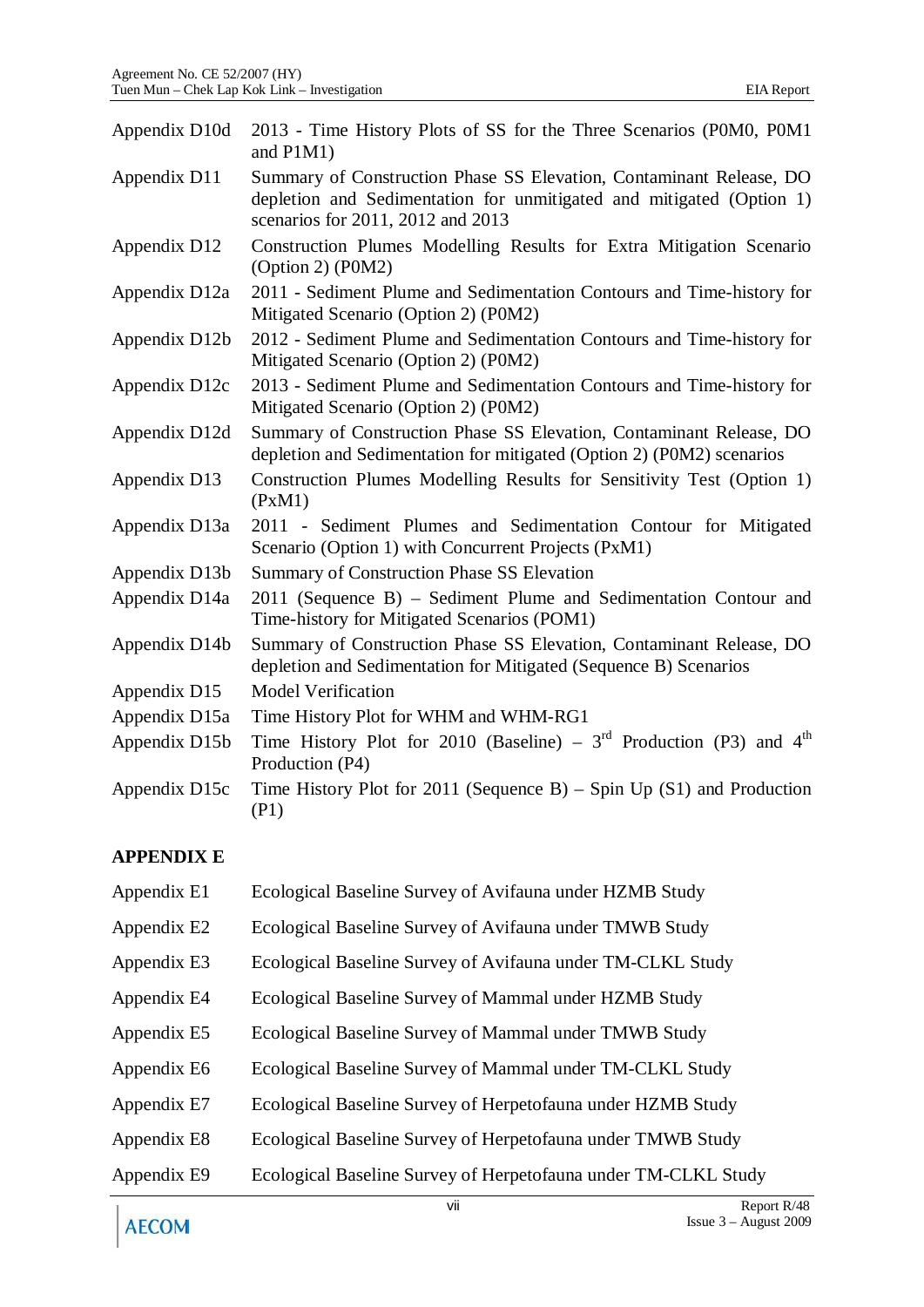| 2013 - Time History Plots of SS for the Three Scenarios (P0M0, P0M1<br>and $P1M1)$                                                                                               |
|----------------------------------------------------------------------------------------------------------------------------------------------------------------------------------|
| Summary of Construction Phase SS Elevation, Contaminant Release, DO<br>depletion and Sedimentation for unmitigated and mitigated (Option 1)<br>scenarios for 2011, 2012 and 2013 |
| Construction Plumes Modelling Results for Extra Mitigation Scenario<br>(Option 2) (POM2)                                                                                         |
| 2011 - Sediment Plume and Sedimentation Contours and Time-history for<br>Mitigated Scenario (Option 2) (P0M2)                                                                    |
| 2012 - Sediment Plume and Sedimentation Contours and Time-history for<br>Mitigated Scenario (Option 2) (P0M2)                                                                    |
| 2013 - Sediment Plume and Sedimentation Contours and Time-history for<br>Mitigated Scenario (Option 2) (P0M2)                                                                    |
| Summary of Construction Phase SS Elevation, Contaminant Release, DO<br>depletion and Sedimentation for mitigated (Option 2) (P0M2) scenarios                                     |
| Construction Plumes Modelling Results for Sensitivity Test (Option 1)<br>(PxM1)                                                                                                  |
| 2011 - Sediment Plumes and Sedimentation Contour for Mitigated<br>Scenario (Option 1) with Concurrent Projects (PxM1)                                                            |
| <b>Summary of Construction Phase SS Elevation</b>                                                                                                                                |
| 2011 (Sequence B) – Sediment Plume and Sedimentation Contour and<br>Time-history for Mitigated Scenarios (POM1)                                                                  |
| Summary of Construction Phase SS Elevation, Contaminant Release, DO<br>depletion and Sedimentation for Mitigated (Sequence B) Scenarios                                          |
| <b>Model Verification</b>                                                                                                                                                        |
| Time History Plot for WHM and WHM-RG1                                                                                                                                            |
| Time History Plot for 2010 (Baseline) – $3rd$ Production (P3) and $4th$<br>Production (P4)                                                                                       |
| Time History Plot for 2011 (Sequence B) – Spin Up $(S1)$ and Production<br>(P1)                                                                                                  |
|                                                                                                                                                                                  |

### **APPENDIX E**

| Appendix E1 | Ecological Baseline Survey of Avifauna under HZMB Study        |
|-------------|----------------------------------------------------------------|
| Appendix E2 | Ecological Baseline Survey of Avifauna under TMWB Study        |
| Appendix E3 | Ecological Baseline Survey of Avifauna under TM-CLKL Study     |
| Appendix E4 | Ecological Baseline Survey of Mammal under HZMB Study          |
| Appendix E5 | Ecological Baseline Survey of Mammal under TMWB Study          |
| Appendix E6 | Ecological Baseline Survey of Mammal under TM-CLKL Study       |
| Appendix E7 | Ecological Baseline Survey of Herpetofauna under HZMB Study    |
| Appendix E8 | Ecological Baseline Survey of Herpetofauna under TMWB Study    |
| Appendix E9 | Ecological Baseline Survey of Herpetofauna under TM-CLKL Study |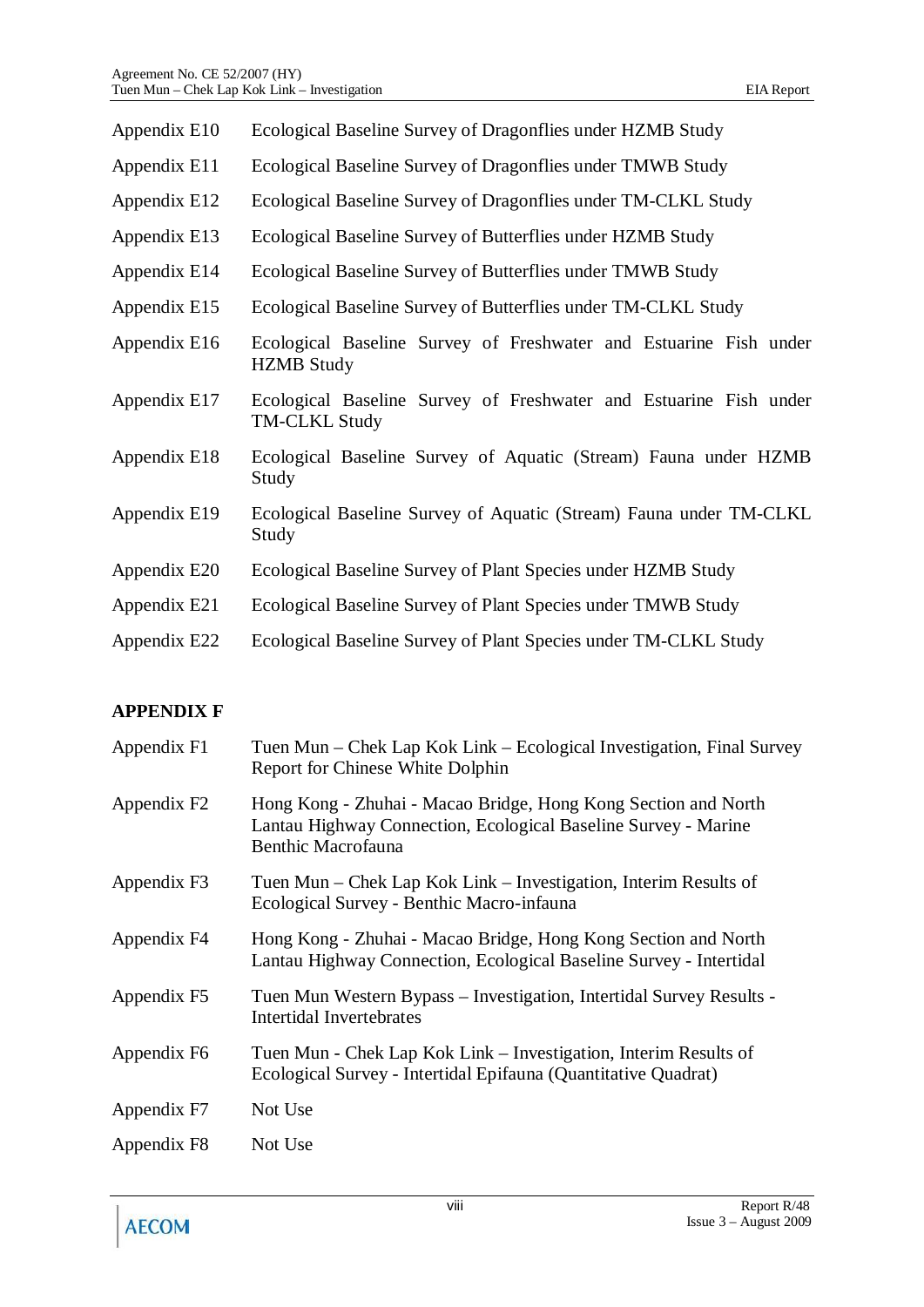| Appendix E10 | Ecological Baseline Survey of Dragonflies under HZMB Study                                |
|--------------|-------------------------------------------------------------------------------------------|
| Appendix E11 | Ecological Baseline Survey of Dragonflies under TMWB Study                                |
| Appendix E12 | Ecological Baseline Survey of Dragonflies under TM-CLKL Study                             |
| Appendix E13 | Ecological Baseline Survey of Butterflies under HZMB Study                                |
| Appendix E14 | Ecological Baseline Survey of Butterflies under TMWB Study                                |
| Appendix E15 | Ecological Baseline Survey of Butterflies under TM-CLKL Study                             |
| Appendix E16 | Ecological Baseline Survey of Freshwater and Estuarine Fish under<br><b>HZMB</b> Study    |
| Appendix E17 | Ecological Baseline Survey of Freshwater and Estuarine Fish under<br><b>TM-CLKL Study</b> |
| Appendix E18 | Ecological Baseline Survey of Aquatic (Stream) Fauna under HZMB<br>Study                  |
| Appendix E19 | Ecological Baseline Survey of Aquatic (Stream) Fauna under TM-CLKL<br>Study               |
| Appendix E20 | Ecological Baseline Survey of Plant Species under HZMB Study                              |
| Appendix E21 | Ecological Baseline Survey of Plant Species under TMWB Study                              |
| Appendix E22 | Ecological Baseline Survey of Plant Species under TM-CLKL Study                           |
|              |                                                                                           |

### **APPENDIX F**

| Appendix F1             | Tuen Mun – Chek Lap Kok Link – Ecological Investigation, Final Survey<br>Report for Chinese White Dolphin                                              |
|-------------------------|--------------------------------------------------------------------------------------------------------------------------------------------------------|
| Appendix F <sub>2</sub> | Hong Kong - Zhuhai - Macao Bridge, Hong Kong Section and North<br>Lantau Highway Connection, Ecological Baseline Survey - Marine<br>Benthic Macrofauna |
| Appendix F3             | Tuen Mun – Chek Lap Kok Link – Investigation, Interim Results of<br>Ecological Survey - Benthic Macro-infauna                                          |
| Appendix F4             | Hong Kong - Zhuhai - Macao Bridge, Hong Kong Section and North<br>Lantau Highway Connection, Ecological Baseline Survey - Intertidal                   |
| Appendix F5             | Tuen Mun Western Bypass - Investigation, Intertidal Survey Results -<br>Intertidal Invertebrates                                                       |
| Appendix F6             | Tuen Mun - Chek Lap Kok Link – Investigation, Interim Results of<br>Ecological Survey - Intertidal Epifauna (Quantitative Quadrat)                     |
| Appendix F7             | Not Use                                                                                                                                                |
| Appendix F8             | Not Use                                                                                                                                                |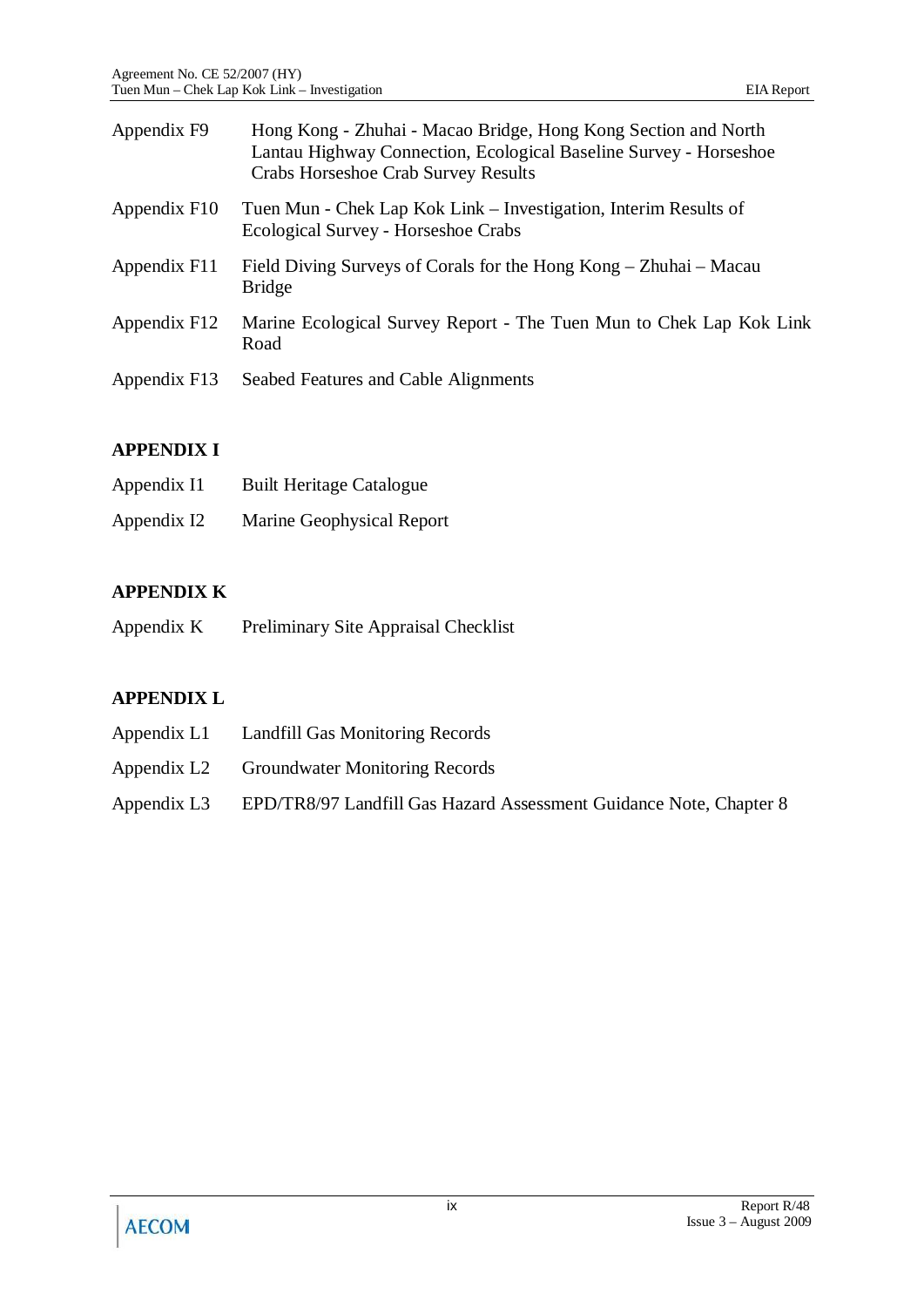| Appendix F9  | Hong Kong - Zhuhai - Macao Bridge, Hong Kong Section and North<br>Lantau Highway Connection, Ecological Baseline Survey - Horseshoe<br>Crabs Horseshoe Crab Survey Results |
|--------------|----------------------------------------------------------------------------------------------------------------------------------------------------------------------------|
| Appendix F10 | Tuen Mun - Chek Lap Kok Link – Investigation, Interim Results of<br>Ecological Survey - Horseshoe Crabs                                                                    |
| Appendix F11 | Field Diving Surveys of Corals for the Hong Kong – Zhuhai – Macau<br><b>Bridge</b>                                                                                         |
| Appendix F12 | Marine Ecological Survey Report - The Tuen Mun to Chek Lap Kok Link<br>Road                                                                                                |
| Appendix F13 | Seabed Features and Cable Alignments                                                                                                                                       |

### **APPENDIX I**

| Appendix I1 | <b>Built Heritage Catalogue</b> |
|-------------|---------------------------------|
| Appendix I2 | Marine Geophysical Report       |

# **APPENDIX K**

Appendix K Preliminary Site Appraisal Checklist

# **APPENDIX L**

- Appendix L1 Landfill Gas Monitoring Records
- Appendix L2 Groundwater Monitoring Records
- Appendix L3 EPD/TR8/97 Landfill Gas Hazard Assessment Guidance Note, Chapter 8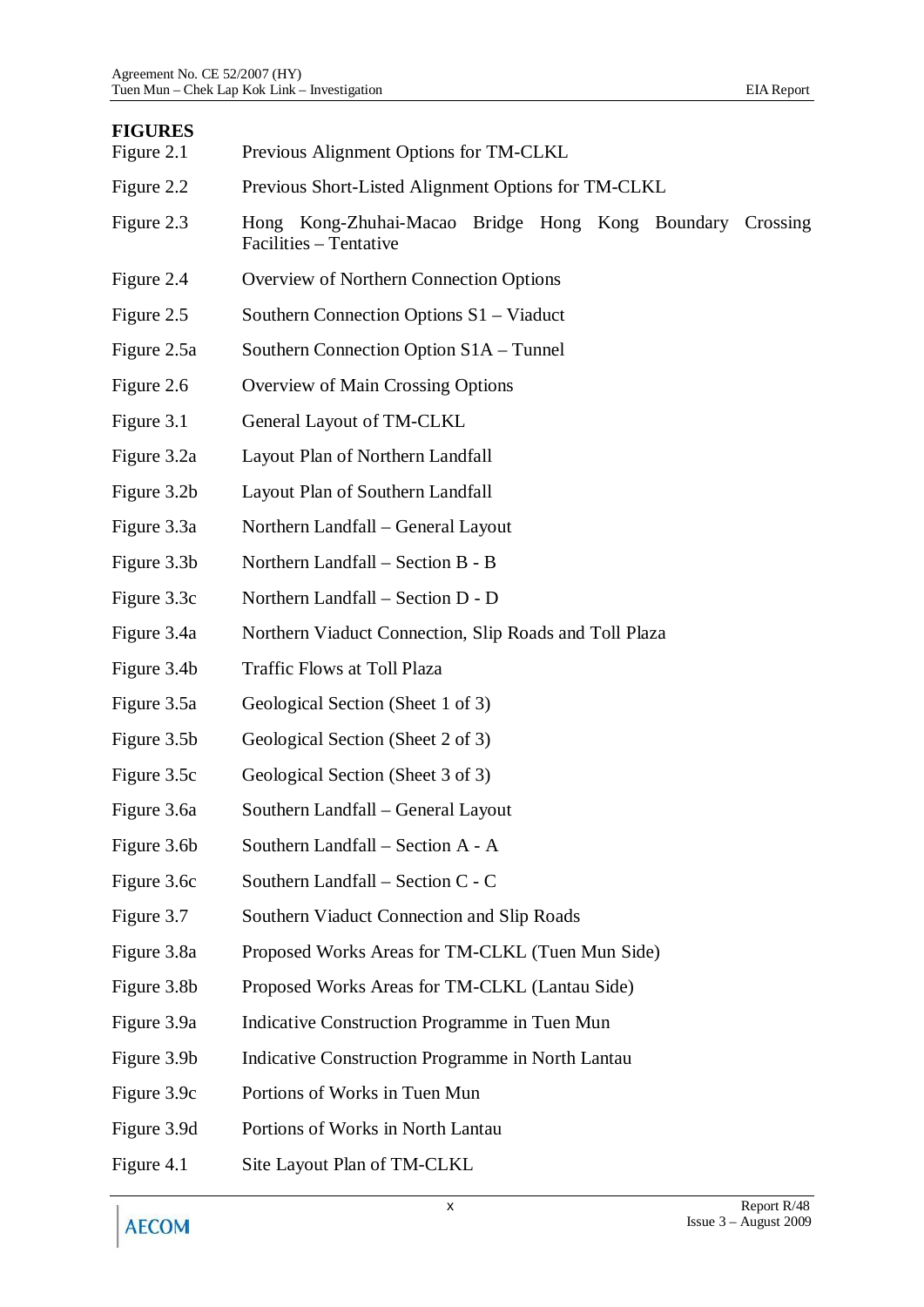# **FIGURES**

| Figure 2.1  | Previous Alignment Options for TM-CLKL                                              |
|-------------|-------------------------------------------------------------------------------------|
| Figure 2.2  | Previous Short-Listed Alignment Options for TM-CLKL                                 |
| Figure 2.3  | Hong Kong-Zhuhai-Macao Bridge Hong Kong Boundary Crossing<br>Facilities - Tentative |
| Figure 2.4  | Overview of Northern Connection Options                                             |
| Figure 2.5  | Southern Connection Options S1 - Viaduct                                            |
| Figure 2.5a | Southern Connection Option S1A – Tunnel                                             |
| Figure 2.6  | Overview of Main Crossing Options                                                   |
| Figure 3.1  | General Layout of TM-CLKL                                                           |
| Figure 3.2a | Layout Plan of Northern Landfall                                                    |
| Figure 3.2b | Layout Plan of Southern Landfall                                                    |
| Figure 3.3a | Northern Landfall - General Layout                                                  |
| Figure 3.3b | Northern Landfall – Section B - B                                                   |
| Figure 3.3c | Northern Landfall – Section D - D                                                   |
| Figure 3.4a | Northern Viaduct Connection, Slip Roads and Toll Plaza                              |
| Figure 3.4b | Traffic Flows at Toll Plaza                                                         |
| Figure 3.5a | Geological Section (Sheet 1 of 3)                                                   |
| Figure 3.5b | Geological Section (Sheet 2 of 3)                                                   |
| Figure 3.5c | Geological Section (Sheet 3 of 3)                                                   |
| Figure 3.6a | Southern Landfall - General Layout                                                  |
| Figure 3.6b | Southern Landfall - Section A - A                                                   |
| Figure 3.6c | Southern Landfall - Section C - C                                                   |
| Figure 3.7  | Southern Viaduct Connection and Slip Roads                                          |
| Figure 3.8a | Proposed Works Areas for TM-CLKL (Tuen Mun Side)                                    |
| Figure 3.8b | Proposed Works Areas for TM-CLKL (Lantau Side)                                      |
| Figure 3.9a | Indicative Construction Programme in Tuen Mun                                       |
| Figure 3.9b | Indicative Construction Programme in North Lantau                                   |
| Figure 3.9c | Portions of Works in Tuen Mun                                                       |
| Figure 3.9d | Portions of Works in North Lantau                                                   |
| Figure 4.1  | Site Layout Plan of TM-CLKL                                                         |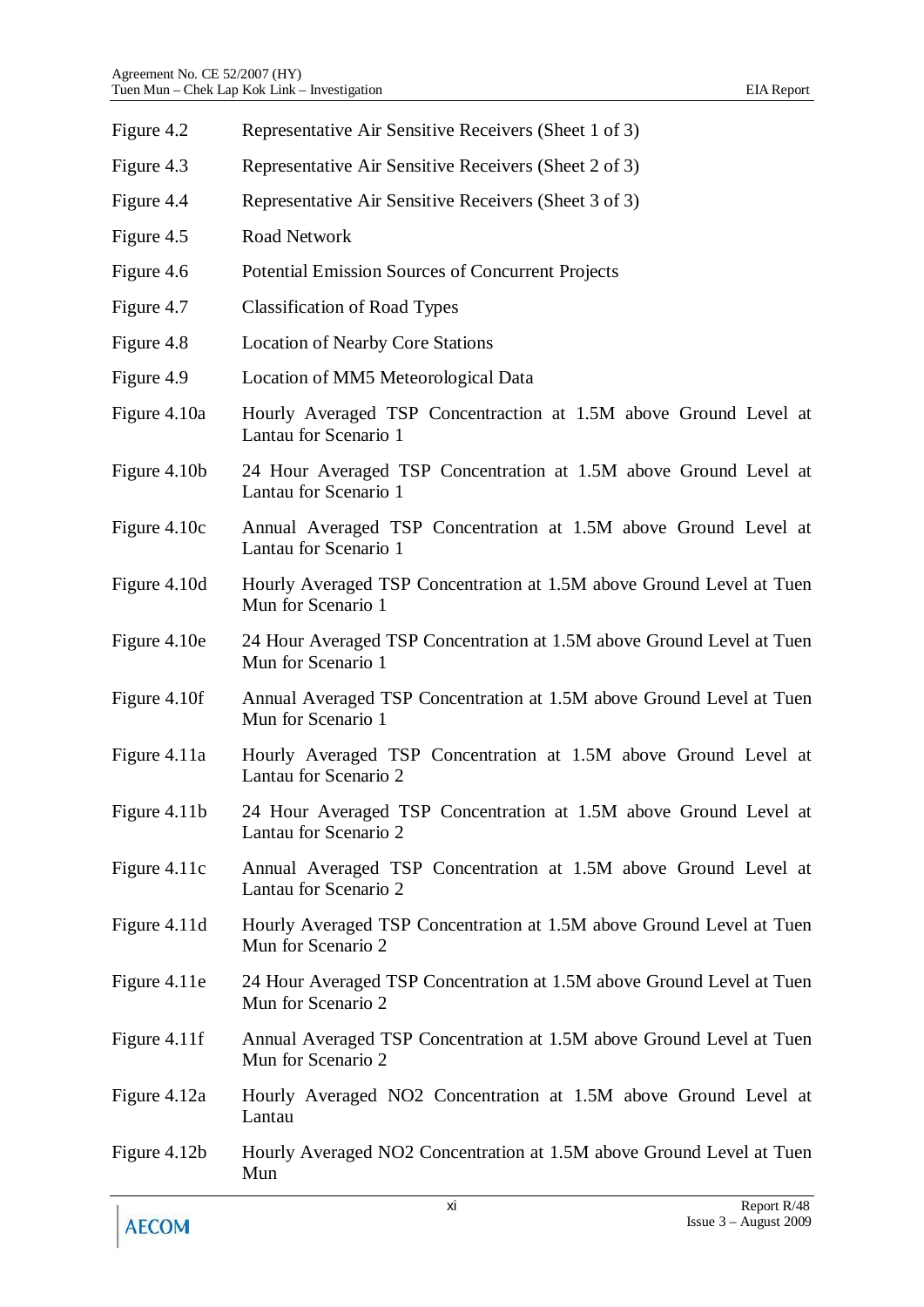| Figure 4.2     | Representative Air Sensitive Receivers (Sheet 1 of 3)                                       |
|----------------|---------------------------------------------------------------------------------------------|
| Figure 4.3     | Representative Air Sensitive Receivers (Sheet 2 of 3)                                       |
| Figure 4.4     | Representative Air Sensitive Receivers (Sheet 3 of 3)                                       |
| Figure 4.5     | Road Network                                                                                |
| Figure 4.6     | Potential Emission Sources of Concurrent Projects                                           |
| Figure 4.7     | <b>Classification of Road Types</b>                                                         |
| Figure 4.8     | <b>Location of Nearby Core Stations</b>                                                     |
| Figure 4.9     | Location of MM5 Meteorological Data                                                         |
| Figure 4.10a   | Hourly Averaged TSP Concentraction at 1.5M above Ground Level at<br>Lantau for Scenario 1   |
| Figure 4.10b   | 24 Hour Averaged TSP Concentration at 1.5M above Ground Level at<br>Lantau for Scenario 1   |
| Figure 4.10c   | Annual Averaged TSP Concentration at 1.5M above Ground Level at<br>Lantau for Scenario 1    |
| Figure 4.10d   | Hourly Averaged TSP Concentration at 1.5M above Ground Level at Tuen<br>Mun for Scenario 1  |
| Figure 4.10e   | 24 Hour Averaged TSP Concentration at 1.5M above Ground Level at Tuen<br>Mun for Scenario 1 |
| Figure 4.10f   | Annual Averaged TSP Concentration at 1.5M above Ground Level at Tuen<br>Mun for Scenario 1  |
| Figure 4.11a   | Hourly Averaged TSP Concentration at 1.5M above Ground Level at<br>Lantau for Scenario 2    |
| Figure $4.11b$ | 24 Hour Averaged TSP Concentration at 1.5M above Ground Level at<br>Lantau for Scenario 2   |
| Figure 4.11c   | Annual Averaged TSP Concentration at 1.5M above Ground Level at<br>Lantau for Scenario 2    |
| Figure 4.11d   | Hourly Averaged TSP Concentration at 1.5M above Ground Level at Tuen<br>Mun for Scenario 2  |
| Figure 4.11e   | 24 Hour Averaged TSP Concentration at 1.5M above Ground Level at Tuen<br>Mun for Scenario 2 |
| Figure 4.11f   | Annual Averaged TSP Concentration at 1.5M above Ground Level at Tuen<br>Mun for Scenario 2  |
| Figure 4.12a   | Hourly Averaged NO2 Concentration at 1.5M above Ground Level at<br>Lantau                   |
| Figure 4.12b   | Hourly Averaged NO2 Concentration at 1.5M above Ground Level at Tuen<br>Mun                 |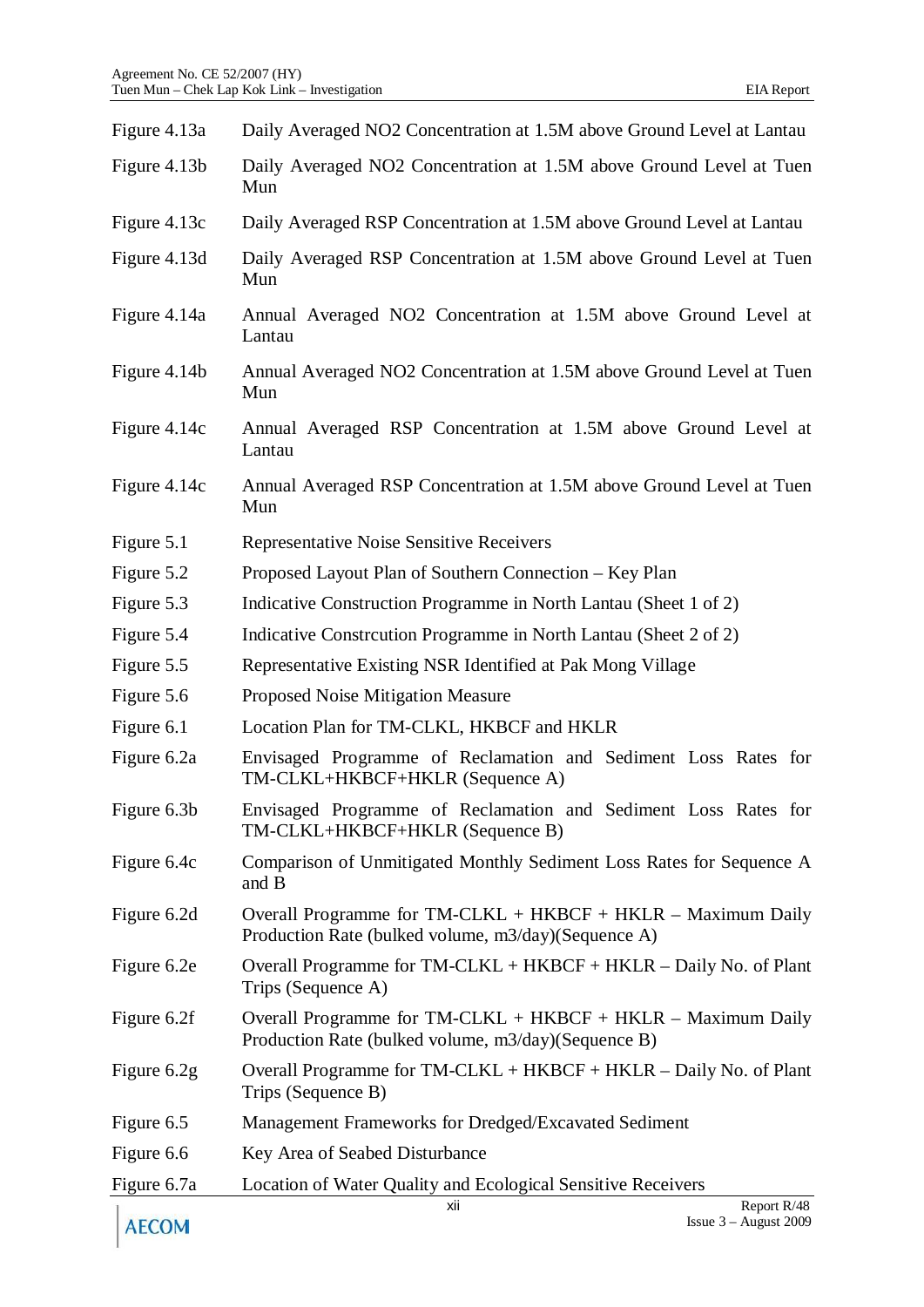| Figure 4.13a | Daily Averaged NO2 Concentration at 1.5M above Ground Level at Lantau                                                 |
|--------------|-----------------------------------------------------------------------------------------------------------------------|
| Figure 4.13b | Daily Averaged NO2 Concentration at 1.5M above Ground Level at Tuen<br>Mun                                            |
| Figure 4.13c | Daily Averaged RSP Concentration at 1.5M above Ground Level at Lantau                                                 |
| Figure 4.13d | Daily Averaged RSP Concentration at 1.5M above Ground Level at Tuen<br>Mun                                            |
| Figure 4.14a | Annual Averaged NO2 Concentration at 1.5M above Ground Level at<br>Lantau                                             |
| Figure 4.14b | Annual Averaged NO2 Concentration at 1.5M above Ground Level at Tuen<br>Mun                                           |
| Figure 4.14c | Annual Averaged RSP Concentration at 1.5M above Ground Level at<br>Lantau                                             |
| Figure 4.14c | Annual Averaged RSP Concentration at 1.5M above Ground Level at Tuen<br>Mun                                           |
| Figure 5.1   | Representative Noise Sensitive Receivers                                                                              |
| Figure 5.2   | Proposed Layout Plan of Southern Connection – Key Plan                                                                |
| Figure 5.3   | Indicative Construction Programme in North Lantau (Sheet 1 of 2)                                                      |
| Figure 5.4   | Indicative Construction Programme in North Lantau (Sheet 2 of 2)                                                      |
| Figure 5.5   | Representative Existing NSR Identified at Pak Mong Village                                                            |
| Figure 5.6   | Proposed Noise Mitigation Measure                                                                                     |
| Figure 6.1   | Location Plan for TM-CLKL, HKBCF and HKLR                                                                             |
| Figure 6.2a  | Envisaged Programme of Reclamation and Sediment Loss Rates for<br>TM-CLKL+HKBCF+HKLR (Sequence A)                     |
| Figure 6.3b  | Envisaged Programme of Reclamation and Sediment Loss Rates for<br>TM-CLKL+HKBCF+HKLR (Sequence B)                     |
| Figure 6.4c  | Comparison of Unmitigated Monthly Sediment Loss Rates for Sequence A<br>and B                                         |
| Figure 6.2d  | Overall Programme for $TM-CLKL + HKBCF + HKLR - Maximum$ Daily<br>Production Rate (bulked volume, m3/day)(Sequence A) |
| Figure 6.2e  | Overall Programme for TM-CLKL + HKBCF + HKLR – Daily No. of Plant<br>Trips (Sequence A)                               |
| Figure 6.2f  | Overall Programme for $TM-CLKL + HKBCF + HKLR - Maximum$ Daily<br>Production Rate (bulked volume, m3/day)(Sequence B) |
| Figure 6.2g  | Overall Programme for TM-CLKL + HKBCF + HKLR – Daily No. of Plant<br>Trips (Sequence B)                               |
| Figure 6.5   | Management Frameworks for Dredged/Excavated Sediment                                                                  |
| Figure 6.6   | Key Area of Seabed Disturbance                                                                                        |
| Figure 6.7a  | Location of Water Quality and Ecological Sensitive Receivers                                                          |
| <b>AECOM</b> | Report R/48<br>xii<br>Issue $3 -$ August 2009                                                                         |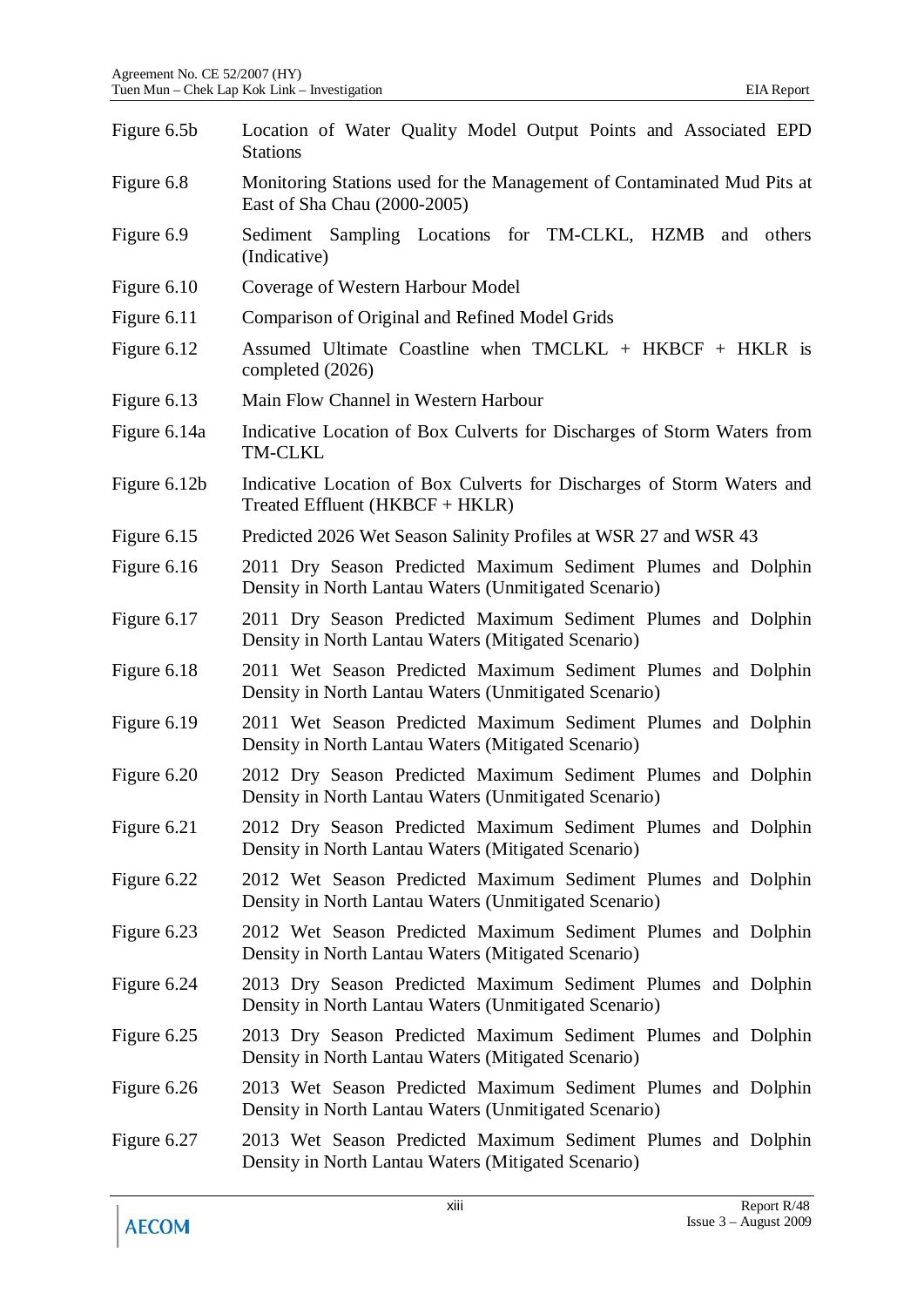| Figure 6.5b  | Location of Water Quality Model Output Points and Associated EPD<br><b>Stations</b>                                    |
|--------------|------------------------------------------------------------------------------------------------------------------------|
| Figure 6.8   | Monitoring Stations used for the Management of Contaminated Mud Pits at<br>East of Sha Chau (2000-2005)                |
| Figure 6.9   | Sediment Sampling Locations for TM-CLKL, HZMB<br>and others<br>(Indicative)                                            |
| Figure 6.10  | Coverage of Western Harbour Model                                                                                      |
| Figure 6.11  | Comparison of Original and Refined Model Grids                                                                         |
| Figure 6.12  | Assumed Ultimate Coastline when $TMCLKL + HKBCF + HKLR$ is<br>completed (2026)                                         |
| Figure 6.13  | Main Flow Channel in Western Harbour                                                                                   |
| Figure 6.14a | Indicative Location of Box Culverts for Discharges of Storm Waters from<br><b>TM-CLKL</b>                              |
| Figure 6.12b | Indicative Location of Box Culverts for Discharges of Storm Waters and<br>Treated Effluent $(HKBCF + HKLR)$            |
| Figure 6.15  | Predicted 2026 Wet Season Salinity Profiles at WSR 27 and WSR 43                                                       |
| Figure 6.16  | 2011 Dry Season Predicted Maximum Sediment Plumes and Dolphin<br>Density in North Lantau Waters (Unmitigated Scenario) |
| Figure 6.17  | 2011 Dry Season Predicted Maximum Sediment Plumes and Dolphin<br>Density in North Lantau Waters (Mitigated Scenario)   |
| Figure 6.18  | 2011 Wet Season Predicted Maximum Sediment Plumes and Dolphin<br>Density in North Lantau Waters (Unmitigated Scenario) |
| Figure 6.19  | 2011 Wet Season Predicted Maximum Sediment Plumes and Dolphin<br>Density in North Lantau Waters (Mitigated Scenario)   |
| Figure 6.20  | 2012 Dry Season Predicted Maximum Sediment Plumes and Dolphin<br>Density in North Lantau Waters (Unmitigated Scenario) |
| Figure 6.21  | 2012 Dry Season Predicted Maximum Sediment Plumes and Dolphin<br>Density in North Lantau Waters (Mitigated Scenario)   |
| Figure 6.22  | 2012 Wet Season Predicted Maximum Sediment Plumes and Dolphin<br>Density in North Lantau Waters (Unmitigated Scenario) |
| Figure 6.23  | 2012 Wet Season Predicted Maximum Sediment Plumes and Dolphin<br>Density in North Lantau Waters (Mitigated Scenario)   |
| Figure 6.24  | 2013 Dry Season Predicted Maximum Sediment Plumes and Dolphin<br>Density in North Lantau Waters (Unmitigated Scenario) |
| Figure 6.25  | 2013 Dry Season Predicted Maximum Sediment Plumes and Dolphin<br>Density in North Lantau Waters (Mitigated Scenario)   |
| Figure 6.26  | 2013 Wet Season Predicted Maximum Sediment Plumes and Dolphin<br>Density in North Lantau Waters (Unmitigated Scenario) |
| Figure 6.27  | 2013 Wet Season Predicted Maximum Sediment Plumes and Dolphin<br>Density in North Lantau Waters (Mitigated Scenario)   |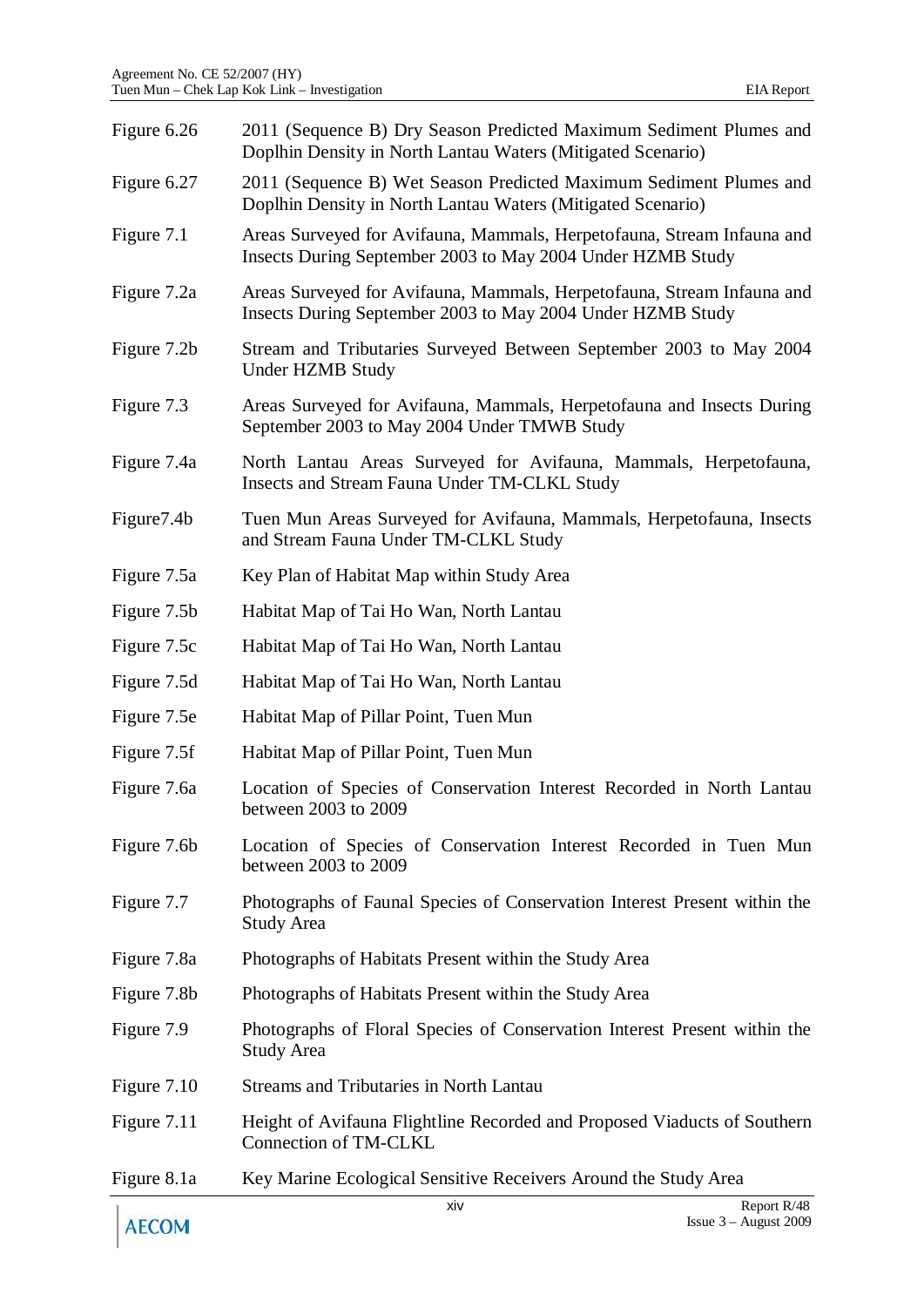| Figure 6.26 | 2011 (Sequence B) Dry Season Predicted Maximum Sediment Plumes and<br>Doplhin Density in North Lantau Waters (Mitigated Scenario)    |
|-------------|--------------------------------------------------------------------------------------------------------------------------------------|
| Figure 6.27 | 2011 (Sequence B) Wet Season Predicted Maximum Sediment Plumes and<br>Doplhin Density in North Lantau Waters (Mitigated Scenario)    |
| Figure 7.1  | Areas Surveyed for Avifauna, Mammals, Herpetofauna, Stream Infauna and<br>Insects During September 2003 to May 2004 Under HZMB Study |
| Figure 7.2a | Areas Surveyed for Avifauna, Mammals, Herpetofauna, Stream Infauna and<br>Insects During September 2003 to May 2004 Under HZMB Study |
| Figure 7.2b | Stream and Tributaries Surveyed Between September 2003 to May 2004<br><b>Under HZMB Study</b>                                        |
| Figure 7.3  | Areas Surveyed for Avifauna, Mammals, Herpetofauna and Insects During<br>September 2003 to May 2004 Under TMWB Study                 |
| Figure 7.4a | North Lantau Areas Surveyed for Avifauna, Mammals, Herpetofauna,<br>Insects and Stream Fauna Under TM-CLKL Study                     |
| Figure 7.4b | Tuen Mun Areas Surveyed for Avifauna, Mammals, Herpetofauna, Insects<br>and Stream Fauna Under TM-CLKL Study                         |
| Figure 7.5a | Key Plan of Habitat Map within Study Area                                                                                            |
| Figure 7.5b | Habitat Map of Tai Ho Wan, North Lantau                                                                                              |
| Figure 7.5c | Habitat Map of Tai Ho Wan, North Lantau                                                                                              |
| Figure 7.5d | Habitat Map of Tai Ho Wan, North Lantau                                                                                              |
| Figure 7.5e | Habitat Map of Pillar Point, Tuen Mun                                                                                                |
| Figure 7.5f | Habitat Map of Pillar Point, Tuen Mun                                                                                                |
| Figure 7.6a | Location of Species of Conservation Interest Recorded in North Lantau<br>between 2003 to 2009                                        |
| Figure 7.6b | Location of Species of Conservation Interest Recorded in Tuen Mun<br>between 2003 to 2009                                            |
| Figure 7.7  | Photographs of Faunal Species of Conservation Interest Present within the<br><b>Study Area</b>                                       |
| Figure 7.8a | Photographs of Habitats Present within the Study Area                                                                                |
| Figure 7.8b | Photographs of Habitats Present within the Study Area                                                                                |
| Figure 7.9  | Photographs of Floral Species of Conservation Interest Present within the<br><b>Study Area</b>                                       |
| Figure 7.10 | <b>Streams and Tributaries in North Lantau</b>                                                                                       |
| Figure 7.11 | Height of Avifauna Flightline Recorded and Proposed Viaducts of Southern<br>Connection of TM-CLKL                                    |
| Figure 8.1a | Key Marine Ecological Sensitive Receivers Around the Study Area                                                                      |
|             | xiv<br>Report R/48                                                                                                                   |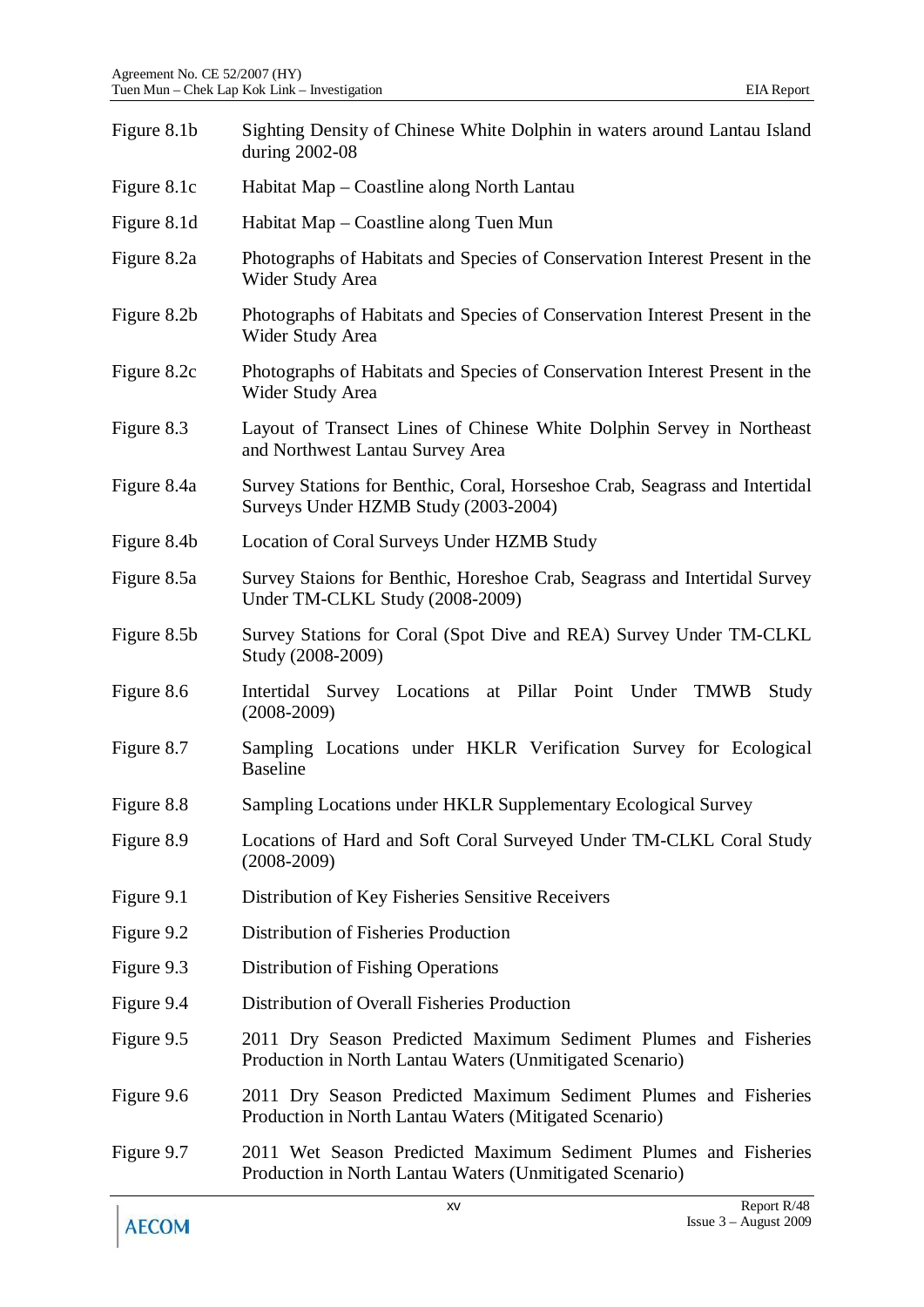| Figure 8.1b | Sighting Density of Chinese White Dolphin in waters around Lantau Island<br>during 2002-08                                  |
|-------------|-----------------------------------------------------------------------------------------------------------------------------|
| Figure 8.1c | Habitat Map – Coastline along North Lantau                                                                                  |
| Figure 8.1d | Habitat Map – Coastline along Tuen Mun                                                                                      |
| Figure 8.2a | Photographs of Habitats and Species of Conservation Interest Present in the<br>Wider Study Area                             |
| Figure 8.2b | Photographs of Habitats and Species of Conservation Interest Present in the<br>Wider Study Area                             |
| Figure 8.2c | Photographs of Habitats and Species of Conservation Interest Present in the<br>Wider Study Area                             |
| Figure 8.3  | Layout of Transect Lines of Chinese White Dolphin Servey in Northeast<br>and Northwest Lantau Survey Area                   |
| Figure 8.4a | Survey Stations for Benthic, Coral, Horseshoe Crab, Seagrass and Intertidal<br>Surveys Under HZMB Study (2003-2004)         |
| Figure 8.4b | Location of Coral Surveys Under HZMB Study                                                                                  |
| Figure 8.5a | Survey Staions for Benthic, Horeshoe Crab, Seagrass and Intertidal Survey<br>Under TM-CLKL Study (2008-2009)                |
| Figure 8.5b | Survey Stations for Coral (Spot Dive and REA) Survey Under TM-CLKL<br>Study (2008-2009)                                     |
| Figure 8.6  | Intertidal Survey Locations at Pillar Point Under TMWB<br>Study<br>$(2008-2009)$                                            |
| Figure 8.7  | Sampling Locations under HKLR Verification Survey for Ecological<br><b>Baseline</b>                                         |
| Figure 8.8  | Sampling Locations under HKLR Supplementary Ecological Survey                                                               |
| Figure 8.9  | Locations of Hard and Soft Coral Surveyed Under TM-CLKL Coral Study<br>$(2008 - 2009)$                                      |
| Figure 9.1  | Distribution of Key Fisheries Sensitive Receivers                                                                           |
| Figure 9.2  | Distribution of Fisheries Production                                                                                        |
| Figure 9.3  | Distribution of Fishing Operations                                                                                          |
| Figure 9.4  | Distribution of Overall Fisheries Production                                                                                |
| Figure 9.5  | 2011 Dry Season Predicted Maximum Sediment Plumes and Fisheries<br>Production in North Lantau Waters (Unmitigated Scenario) |
| Figure 9.6  | 2011 Dry Season Predicted Maximum Sediment Plumes and Fisheries<br>Production in North Lantau Waters (Mitigated Scenario)   |
| Figure 9.7  | 2011 Wet Season Predicted Maximum Sediment Plumes and Fisheries<br>Production in North Lantau Waters (Unmitigated Scenario) |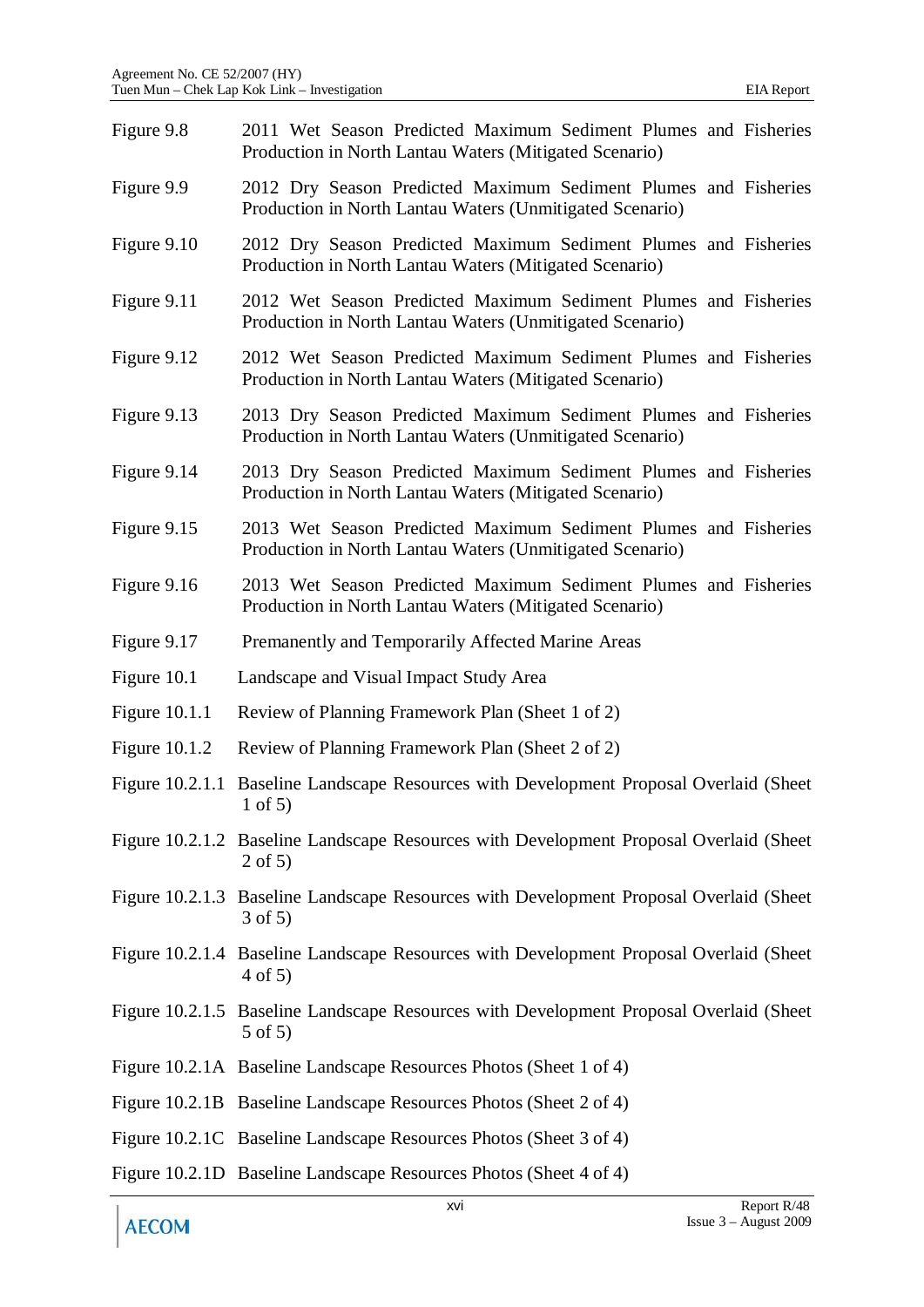| Figure 9.8      | 2011 Wet Season Predicted Maximum Sediment Plumes and Fisheries<br>Production in North Lantau Waters (Mitigated Scenario)   |
|-----------------|-----------------------------------------------------------------------------------------------------------------------------|
| Figure 9.9      | 2012 Dry Season Predicted Maximum Sediment Plumes and Fisheries<br>Production in North Lantau Waters (Unmitigated Scenario) |
| Figure 9.10     | 2012 Dry Season Predicted Maximum Sediment Plumes and Fisheries<br>Production in North Lantau Waters (Mitigated Scenario)   |
| Figure 9.11     | 2012 Wet Season Predicted Maximum Sediment Plumes and Fisheries<br>Production in North Lantau Waters (Unmitigated Scenario) |
| Figure 9.12     | 2012 Wet Season Predicted Maximum Sediment Plumes and Fisheries<br>Production in North Lantau Waters (Mitigated Scenario)   |
| Figure 9.13     | 2013 Dry Season Predicted Maximum Sediment Plumes and Fisheries<br>Production in North Lantau Waters (Unmitigated Scenario) |
| Figure 9.14     | 2013 Dry Season Predicted Maximum Sediment Plumes and Fisheries<br>Production in North Lantau Waters (Mitigated Scenario)   |
| Figure 9.15     | 2013 Wet Season Predicted Maximum Sediment Plumes and Fisheries<br>Production in North Lantau Waters (Unmitigated Scenario) |
| Figure 9.16     | 2013 Wet Season Predicted Maximum Sediment Plumes and Fisheries<br>Production in North Lantau Waters (Mitigated Scenario)   |
| Figure 9.17     | Premanently and Temporarily Affected Marine Areas                                                                           |
| Figure 10.1     | Landscape and Visual Impact Study Area                                                                                      |
| Figure $10.1.1$ | Review of Planning Framework Plan (Sheet 1 of 2)                                                                            |
| Figure $10.1.2$ | Review of Planning Framework Plan (Sheet 2 of 2)                                                                            |
| Figure 10.2.1.1 | Baseline Landscape Resources with Development Proposal Overlaid (Sheet)<br>$1$ of 5)                                        |
|                 | Figure 10.2.1.2 Baseline Landscape Resources with Development Proposal Overlaid (Sheet<br>$2$ of 5)                         |
|                 | Figure 10.2.1.3 Baseline Landscape Resources with Development Proposal Overlaid (Sheet<br>$3$ of 5)                         |
|                 | Figure 10.2.1.4 Baseline Landscape Resources with Development Proposal Overlaid (Sheet<br>$4$ of 5)                         |
|                 | Figure 10.2.1.5 Baseline Landscape Resources with Development Proposal Overlaid (Sheet<br>$5$ of $5)$                       |
|                 | Figure 10.2.1A Baseline Landscape Resources Photos (Sheet 1 of 4)                                                           |
|                 | Figure 10.2.1B Baseline Landscape Resources Photos (Sheet 2 of 4)                                                           |
|                 | Figure 10.2.1C Baseline Landscape Resources Photos (Sheet 3 of 4)                                                           |
|                 | Figure 10.2.1D Baseline Landscape Resources Photos (Sheet 4 of 4)                                                           |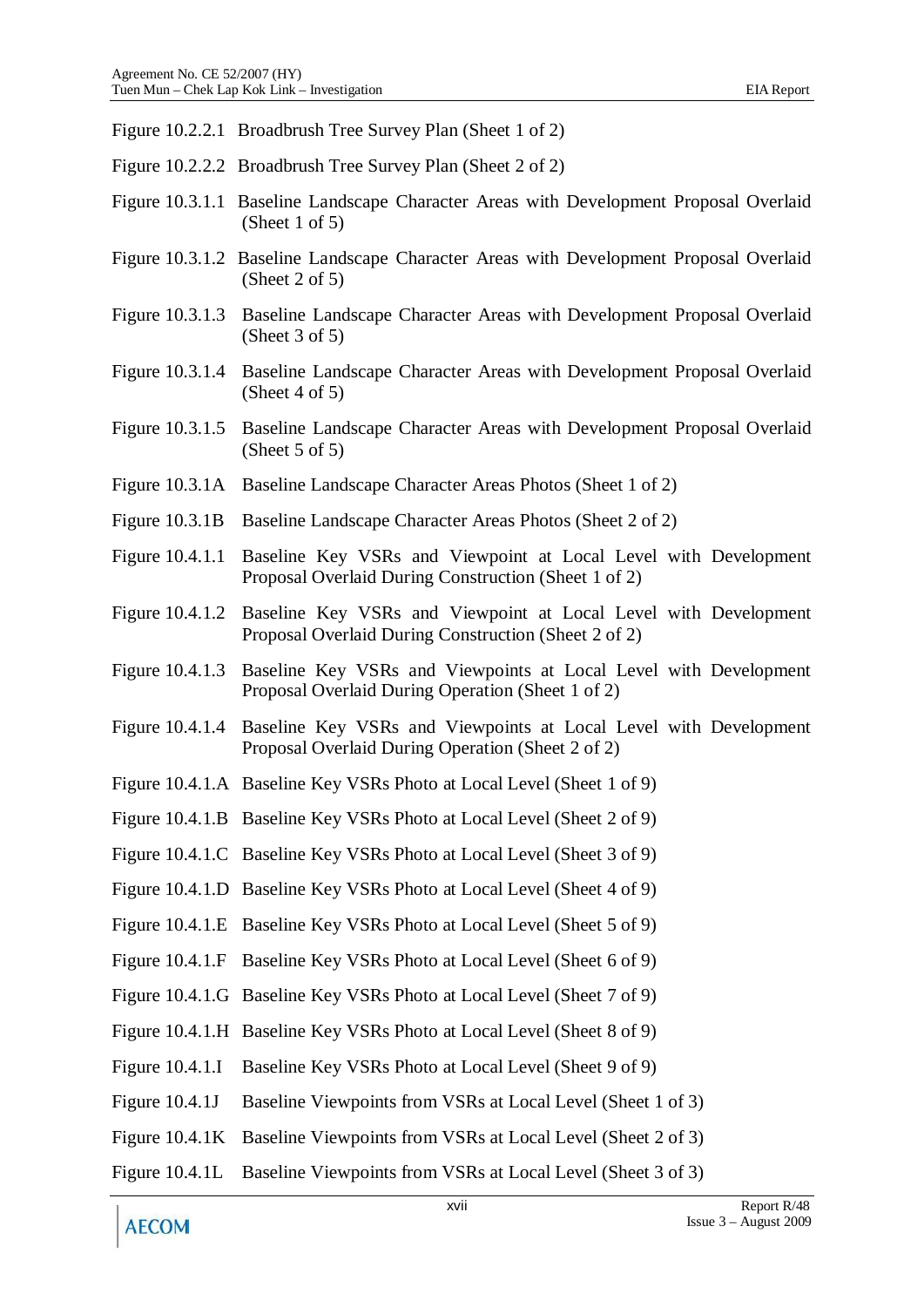- Figure 10.2.2.1 Broadbrush Tree Survey Plan (Sheet 1 of 2)
- Figure 10.2.2.2 Broadbrush Tree Survey Plan (Sheet 2 of 2)
- Figure 10.3.1.1 Baseline Landscape Character Areas with Development Proposal Overlaid (Sheet 1 of 5)
- Figure 10.3.1.2 Baseline Landscape Character Areas with Development Proposal Overlaid (Sheet 2 of 5)
- Figure 10.3.1.3 Baseline Landscape Character Areas with Development Proposal Overlaid (Sheet 3 of 5)
- Figure 10.3.1.4 Baseline Landscape Character Areas with Development Proposal Overlaid (Sheet 4 of 5)
- Figure 10.3.1.5 Baseline Landscape Character Areas with Development Proposal Overlaid (Sheet  $5$  of  $5$ )
- Figure 10.3.1A Baseline Landscape Character Areas Photos (Sheet 1 of 2)
- Figure 10.3.1B Baseline Landscape Character Areas Photos (Sheet 2 of 2)
- Figure 10.4.1.1 Baseline Key VSRs and Viewpoint at Local Level with Development Proposal Overlaid During Construction (Sheet 1 of 2)
- Figure 10.4.1.2 Baseline Key VSRs and Viewpoint at Local Level with Development Proposal Overlaid During Construction (Sheet 2 of 2)
- Figure 10.4.1.3 Baseline Key VSRs and Viewpoints at Local Level with Development Proposal Overlaid During Operation (Sheet 1 of 2)
- Figure 10.4.1.4 Baseline Key VSRs and Viewpoints at Local Level with Development Proposal Overlaid During Operation (Sheet 2 of 2)
- Figure 10.4.1.A Baseline Key VSRs Photo at Local Level (Sheet 1 of 9)
- Figure 10.4.1.B Baseline Key VSRs Photo at Local Level (Sheet 2 of 9)
- Figure 10.4.1.C Baseline Key VSRs Photo at Local Level (Sheet 3 of 9)
- Figure 10.4.1.D Baseline Key VSRs Photo at Local Level (Sheet 4 of 9)
- Figure 10.4.1.E Baseline Key VSRs Photo at Local Level (Sheet 5 of 9)
- Figure 10.4.1.F Baseline Key VSRs Photo at Local Level (Sheet 6 of 9)
- Figure 10.4.1.G Baseline Key VSRs Photo at Local Level (Sheet 7 of 9)
- Figure 10.4.1.H Baseline Key VSRs Photo at Local Level (Sheet 8 of 9)
- Figure 10.4.1.I Baseline Key VSRs Photo at Local Level (Sheet 9 of 9)
- Figure 10.4.1J Baseline Viewpoints from VSRs at Local Level (Sheet 1 of 3)
- Figure 10.4.1K Baseline Viewpoints from VSRs at Local Level (Sheet 2 of 3)
- Figure 10.4.1L Baseline Viewpoints from VSRs at Local Level (Sheet 3 of 3)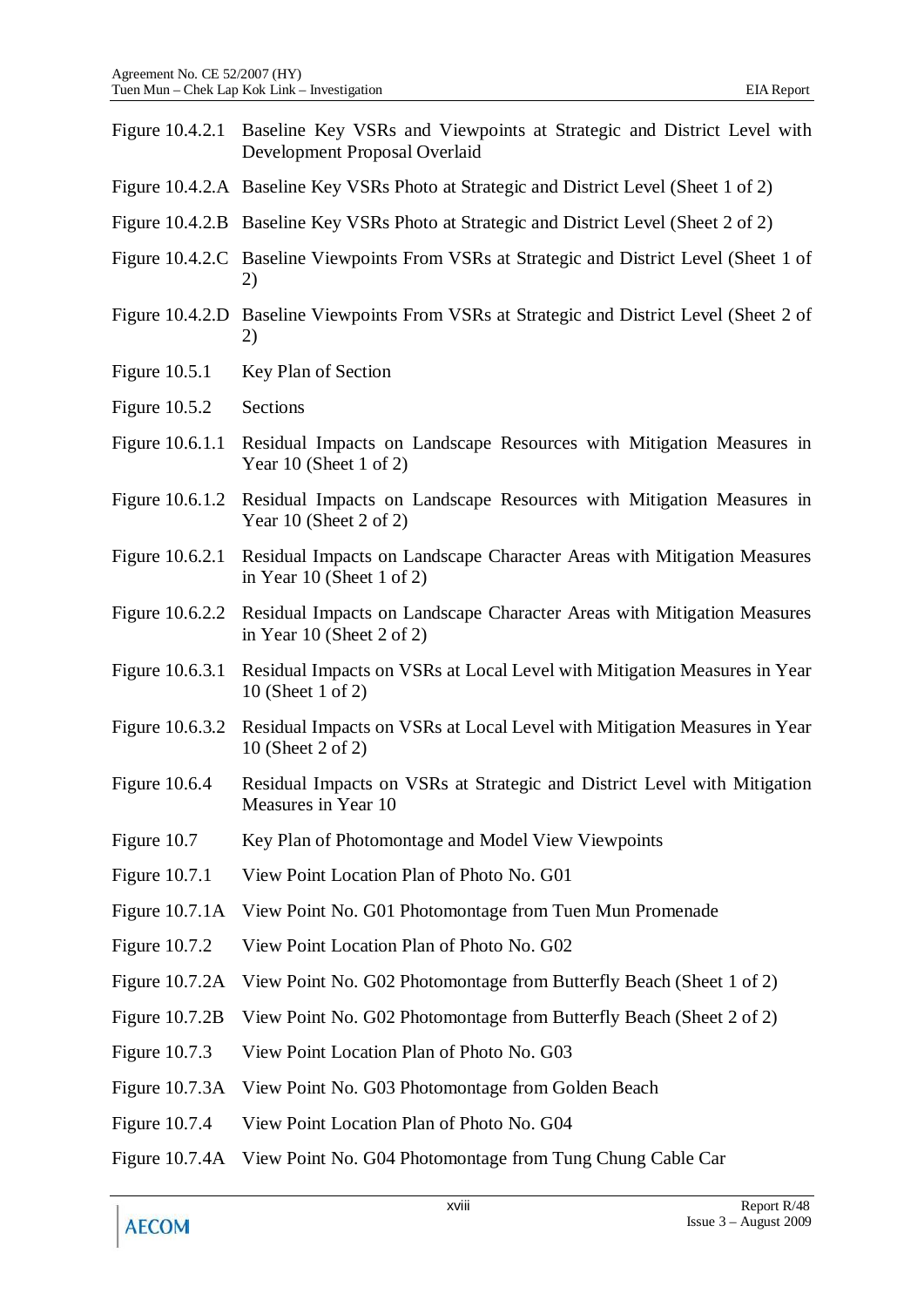|                  | Figure 10.4.2.1 Baseline Key VSRs and Viewpoints at Strategic and District Level with<br>Development Proposal Overlaid |
|------------------|------------------------------------------------------------------------------------------------------------------------|
|                  | Figure 10.4.2.A Baseline Key VSRs Photo at Strategic and District Level (Sheet 1 of 2)                                 |
|                  | Figure 10.4.2.B Baseline Key VSRs Photo at Strategic and District Level (Sheet 2 of 2)                                 |
|                  | Figure 10.4.2.C Baseline Viewpoints From VSRs at Strategic and District Level (Sheet 1 of<br>2)                        |
|                  | Figure 10.4.2.D Baseline Viewpoints From VSRs at Strategic and District Level (Sheet 2 of<br>2)                        |
| Figure $10.5.1$  | Key Plan of Section                                                                                                    |
| Figure $10.5.2$  | Sections                                                                                                               |
| Figure 10.6.1.1  | Residual Impacts on Landscape Resources with Mitigation Measures in<br>Year 10 (Sheet 1 of 2)                          |
| Figure 10.6.1.2  | Residual Impacts on Landscape Resources with Mitigation Measures in<br>Year 10 (Sheet 2 of 2)                          |
| Figure 10.6.2.1  | Residual Impacts on Landscape Character Areas with Mitigation Measures<br>in Year 10 (Sheet 1 of 2)                    |
| Figure 10.6.2.2  | Residual Impacts on Landscape Character Areas with Mitigation Measures<br>in Year 10 (Sheet $2$ of $2$ )               |
| Figure 10.6.3.1  | Residual Impacts on VSRs at Local Level with Mitigation Measures in Year<br>10 (Sheet 1 of 2)                          |
| Figure 10.6.3.2  | Residual Impacts on VSRs at Local Level with Mitigation Measures in Year<br>10 (Sheet 2 of 2)                          |
| Figure 10.6.4    | Residual Impacts on VSRs at Strategic and District Level with Mitigation<br>Measures in Year 10                        |
| Figure 10.7      | Key Plan of Photomontage and Model View Viewpoints                                                                     |
| Figure 10.7.1    | View Point Location Plan of Photo No. G01                                                                              |
| Figure $10.7.1A$ | View Point No. G01 Photomontage from Tuen Mun Promenade                                                                |
| Figure 10.7.2    | View Point Location Plan of Photo No. G02                                                                              |
| Figure 10.7.2A   | View Point No. G02 Photomontage from Butterfly Beach (Sheet 1 of 2)                                                    |
| Figure 10.7.2B   | View Point No. G02 Photomontage from Butterfly Beach (Sheet 2 of 2)                                                    |
| Figure 10.7.3    | View Point Location Plan of Photo No. G03                                                                              |
| Figure 10.7.3A   | View Point No. G03 Photomontage from Golden Beach                                                                      |
| Figure 10.7.4    | View Point Location Plan of Photo No. G04                                                                              |
| Figure 10.7.4A   | View Point No. G04 Photomontage from Tung Chung Cable Car                                                              |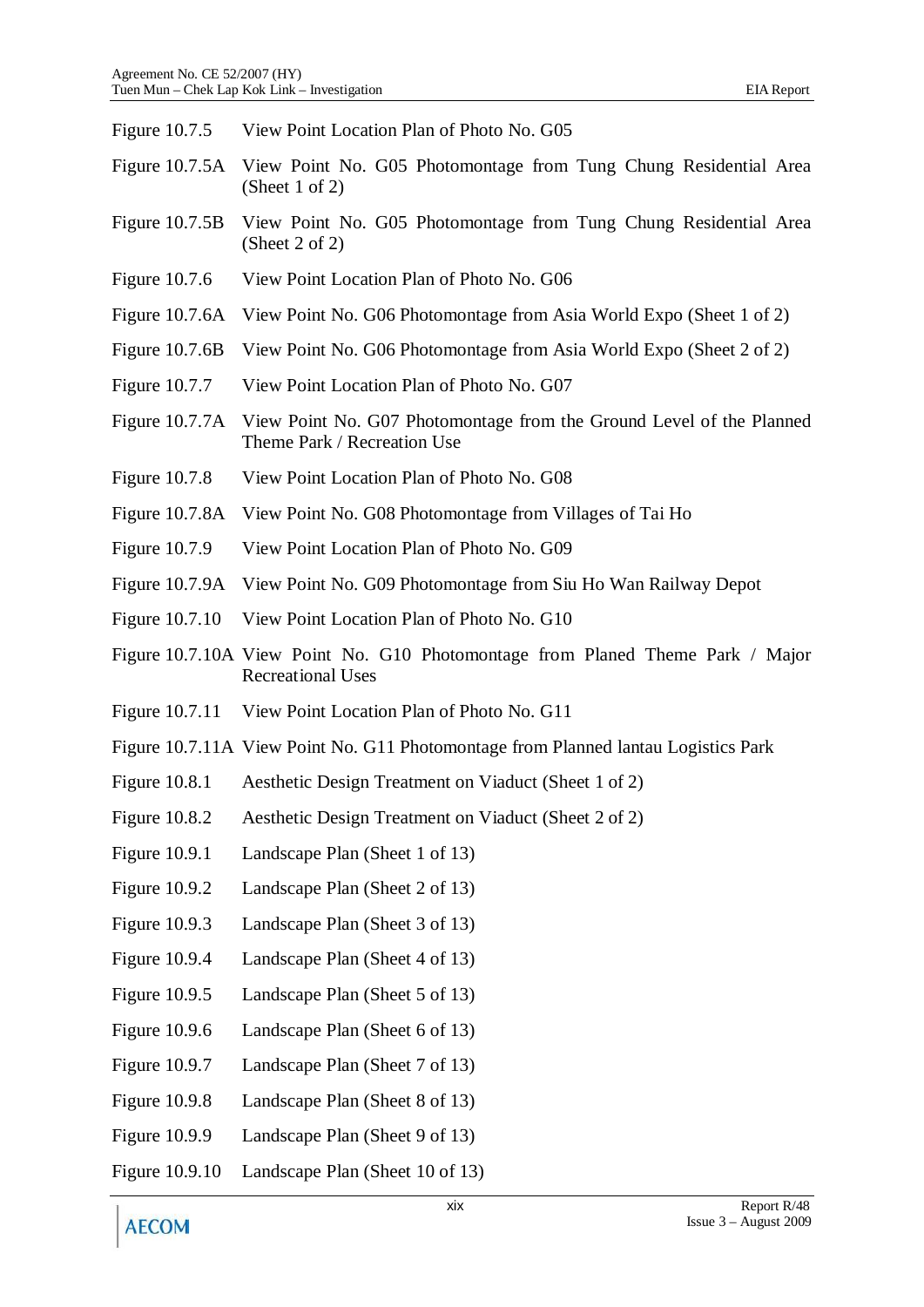| Figure 10.7.5        | View Point Location Plan of Photo No. G05                                                                  |
|----------------------|------------------------------------------------------------------------------------------------------------|
| Figure 10.7.5A       | View Point No. G05 Photomontage from Tung Chung Residential Area<br>(Sheet 1 of 2)                         |
| Figure $10.7.5B$     | View Point No. G05 Photomontage from Tung Chung Residential Area<br>(Sheet 2 of 2)                         |
| Figure 10.7.6        | View Point Location Plan of Photo No. G06                                                                  |
| Figure 10.7.6A       | View Point No. G06 Photomontage from Asia World Expo (Sheet 1 of 2)                                        |
| Figure $10.7.6B$     | View Point No. G06 Photomontage from Asia World Expo (Sheet 2 of 2)                                        |
| Figure 10.7.7        | View Point Location Plan of Photo No. G07                                                                  |
| Figure 10.7.7A       | View Point No. G07 Photomontage from the Ground Level of the Planned<br>Theme Park / Recreation Use        |
| Figure 10.7.8        | View Point Location Plan of Photo No. G08                                                                  |
| Figure 10.7.8A       | View Point No. G08 Photomontage from Villages of Tai Ho                                                    |
| Figure 10.7.9        | View Point Location Plan of Photo No. G09                                                                  |
| Figure 10.7.9A       | View Point No. G09 Photomontage from Siu Ho Wan Railway Depot                                              |
| Figure 10.7.10       | View Point Location Plan of Photo No. G10                                                                  |
|                      | Figure 10.7.10A View Point No. G10 Photomontage from Planed Theme Park / Major<br><b>Recreational Uses</b> |
|                      | Figure 10.7.11 View Point Location Plan of Photo No. G11                                                   |
|                      | Figure 10.7.11A View Point No. G11 Photomontage from Planned lantau Logistics Park                         |
| Figure $10.8.1$      | Aesthetic Design Treatment on Viaduct (Sheet 1 of 2)                                                       |
| <b>Figure 10.8.2</b> | Aesthetic Design Treatment on Viaduct (Sheet 2 of 2)                                                       |
| <b>Figure 10.9.1</b> | Landscape Plan (Sheet 1 of 13)                                                                             |
| Figure $10.9.2$      | Landscape Plan (Sheet 2 of 13)                                                                             |
| Figure 10.9.3        | Landscape Plan (Sheet 3 of 13)                                                                             |
| Figure $10.9.4$      | Landscape Plan (Sheet 4 of 13)                                                                             |
| Figure 10.9.5        | Landscape Plan (Sheet 5 of 13)                                                                             |
| <b>Figure 10.9.6</b> | Landscape Plan (Sheet 6 of 13)                                                                             |
| Figure $10.9.7$      | Landscape Plan (Sheet 7 of 13)                                                                             |
| <b>Figure 10.9.8</b> | Landscape Plan (Sheet 8 of 13)                                                                             |
| <b>Figure 10.9.9</b> | Landscape Plan (Sheet 9 of 13)                                                                             |
| Figure 10.9.10       | Landscape Plan (Sheet 10 of 13)                                                                            |
|                      | Report R/48<br>xix                                                                                         |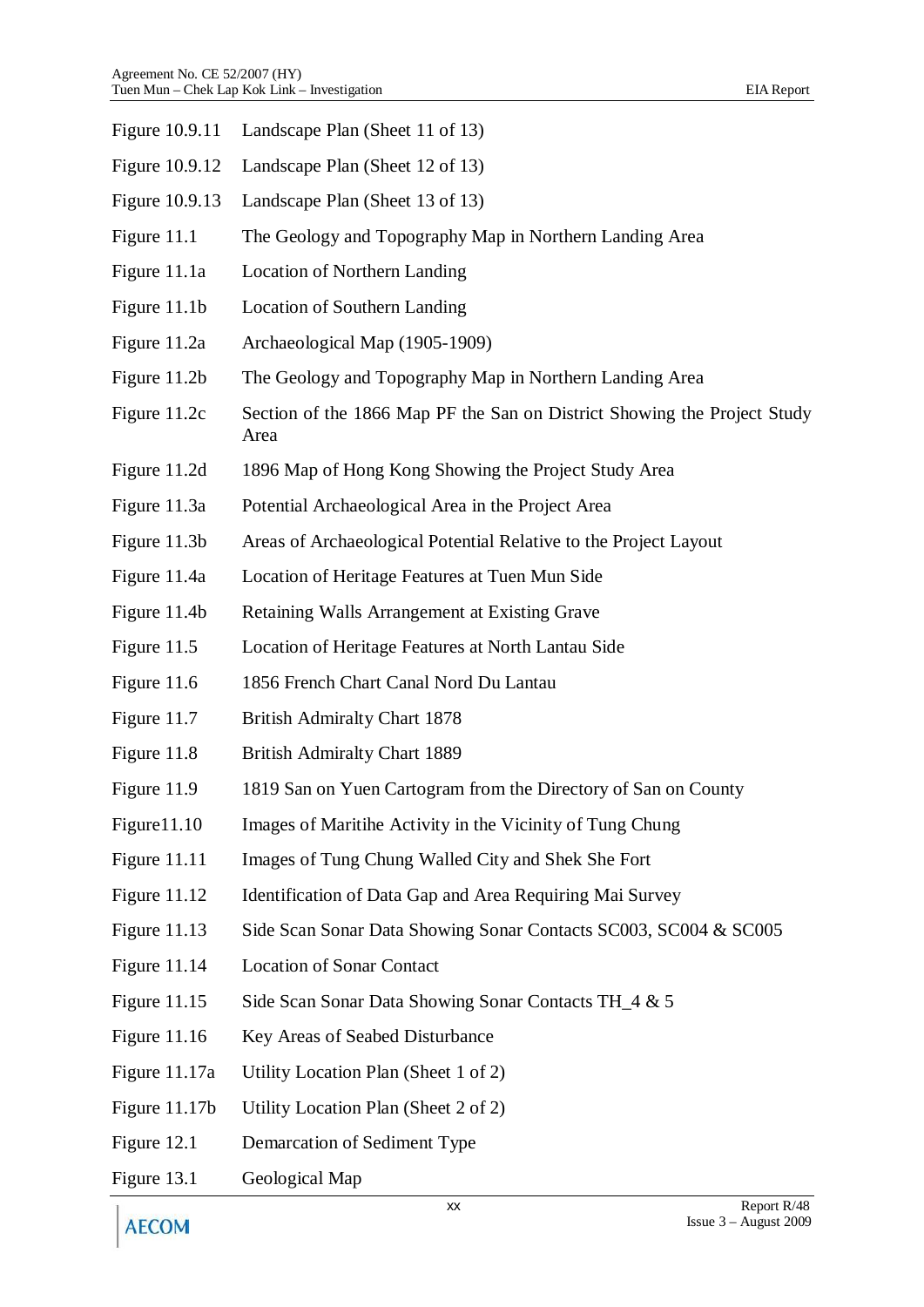| Figure 10.9.11 | Landscape Plan (Sheet 11 of 13)                                                  |
|----------------|----------------------------------------------------------------------------------|
| Figure 10.9.12 | Landscape Plan (Sheet 12 of 13)                                                  |
| Figure 10.9.13 | Landscape Plan (Sheet 13 of 13)                                                  |
| Figure 11.1    | The Geology and Topography Map in Northern Landing Area                          |
| Figure 11.1a   | Location of Northern Landing                                                     |
| Figure 11.1b   | Location of Southern Landing                                                     |
| Figure 11.2a   | Archaeological Map (1905-1909)                                                   |
| Figure 11.2b   | The Geology and Topography Map in Northern Landing Area                          |
| Figure 11.2c   | Section of the 1866 Map PF the San on District Showing the Project Study<br>Area |
| Figure 11.2d   | 1896 Map of Hong Kong Showing the Project Study Area                             |
| Figure 11.3a   | Potential Archaeological Area in the Project Area                                |
| Figure 11.3b   | Areas of Archaeological Potential Relative to the Project Layout                 |
| Figure 11.4a   | Location of Heritage Features at Tuen Mun Side                                   |
| Figure 11.4b   | Retaining Walls Arrangement at Existing Grave                                    |
| Figure 11.5    | Location of Heritage Features at North Lantau Side                               |
| Figure 11.6    | 1856 French Chart Canal Nord Du Lantau                                           |
| Figure 11.7    | <b>British Admiralty Chart 1878</b>                                              |
| Figure 11.8    | <b>British Admiralty Chart 1889</b>                                              |
| Figure 11.9    | 1819 San on Yuen Cartogram from the Directory of San on County                   |
| Figure 11.10   | Images of Maritihe Activity in the Vicinity of Tung Chung                        |
| Figure 11.11   | Images of Tung Chung Walled City and Shek She Fort                               |
| Figure $11.12$ | Identification of Data Gap and Area Requiring Mai Survey                         |
| Figure $11.13$ | Side Scan Sonar Data Showing Sonar Contacts SC003, SC004 & SC005                 |
| Figure 11.14   | <b>Location of Sonar Contact</b>                                                 |
| Figure $11.15$ | Side Scan Sonar Data Showing Sonar Contacts TH_4 & 5                             |
| Figure $11.16$ | Key Areas of Seabed Disturbance                                                  |
| Figure 11.17a  | Utility Location Plan (Sheet 1 of 2)                                             |
| Figure 11.17b  | Utility Location Plan (Sheet 2 of 2)                                             |
| Figure 12.1    | Demarcation of Sediment Type                                                     |
| Figure 13.1    | Geological Map                                                                   |

**AECOM**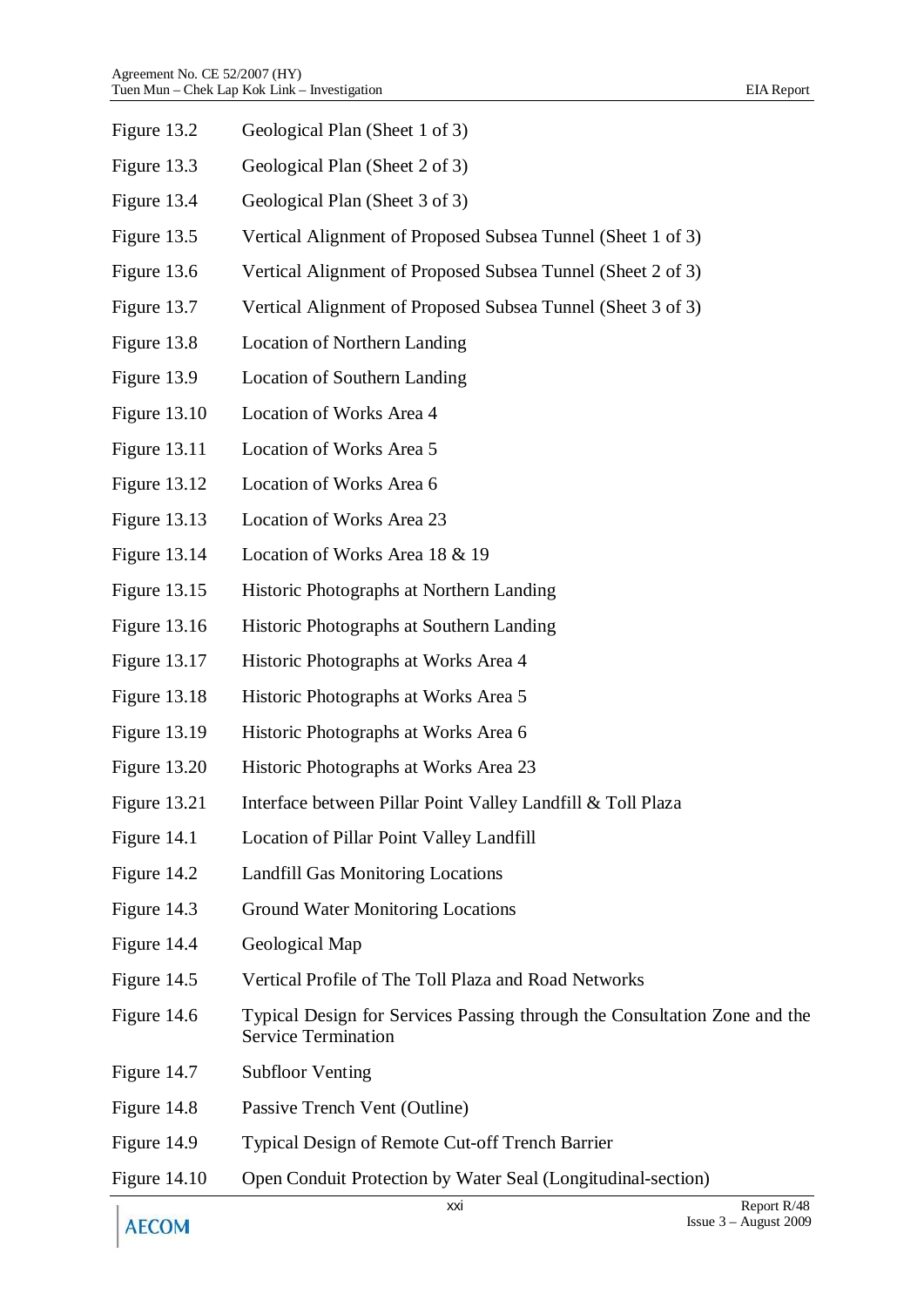| Figure 13.2         | Geological Plan (Sheet 1 of 3)                                                                          |
|---------------------|---------------------------------------------------------------------------------------------------------|
| Figure 13.3         | Geological Plan (Sheet 2 of 3)                                                                          |
| Figure 13.4         | Geological Plan (Sheet 3 of 3)                                                                          |
| Figure 13.5         | Vertical Alignment of Proposed Subsea Tunnel (Sheet 1 of 3)                                             |
| Figure 13.6         | Vertical Alignment of Proposed Subsea Tunnel (Sheet 2 of 3)                                             |
| Figure 13.7         | Vertical Alignment of Proposed Subsea Tunnel (Sheet 3 of 3)                                             |
| Figure 13.8         | Location of Northern Landing                                                                            |
| Figure 13.9         | Location of Southern Landing                                                                            |
| Figure 13.10        | Location of Works Area 4                                                                                |
| Figure 13.11        | Location of Works Area 5                                                                                |
| Figure 13.12        | Location of Works Area 6                                                                                |
| Figure 13.13        | Location of Works Area 23                                                                               |
| Figure 13.14        | Location of Works Area 18 & 19                                                                          |
| Figure 13.15        | Historic Photographs at Northern Landing                                                                |
| Figure 13.16        | Historic Photographs at Southern Landing                                                                |
| Figure 13.17        | Historic Photographs at Works Area 4                                                                    |
| Figure 13.18        | Historic Photographs at Works Area 5                                                                    |
| Figure 13.19        | Historic Photographs at Works Area 6                                                                    |
| Figure 13.20        | Historic Photographs at Works Area 23                                                                   |
| <b>Figure 13.21</b> | Interface between Pillar Point Valley Landfill & Toll Plaza                                             |
| Figure 14.1         | Location of Pillar Point Valley Landfill                                                                |
| Figure 14.2         | <b>Landfill Gas Monitoring Locations</b>                                                                |
| Figure 14.3         | <b>Ground Water Monitoring Locations</b>                                                                |
| Figure 14.4         | Geological Map                                                                                          |
| Figure 14.5         | Vertical Profile of The Toll Plaza and Road Networks                                                    |
| Figure 14.6         | Typical Design for Services Passing through the Consultation Zone and the<br><b>Service Termination</b> |
| Figure 14.7         | <b>Subfloor Venting</b>                                                                                 |
| Figure 14.8         | Passive Trench Vent (Outline)                                                                           |
| Figure 14.9         | Typical Design of Remote Cut-off Trench Barrier                                                         |
| Figure $14.10$      | Open Conduit Protection by Water Seal (Longitudinal-section)                                            |